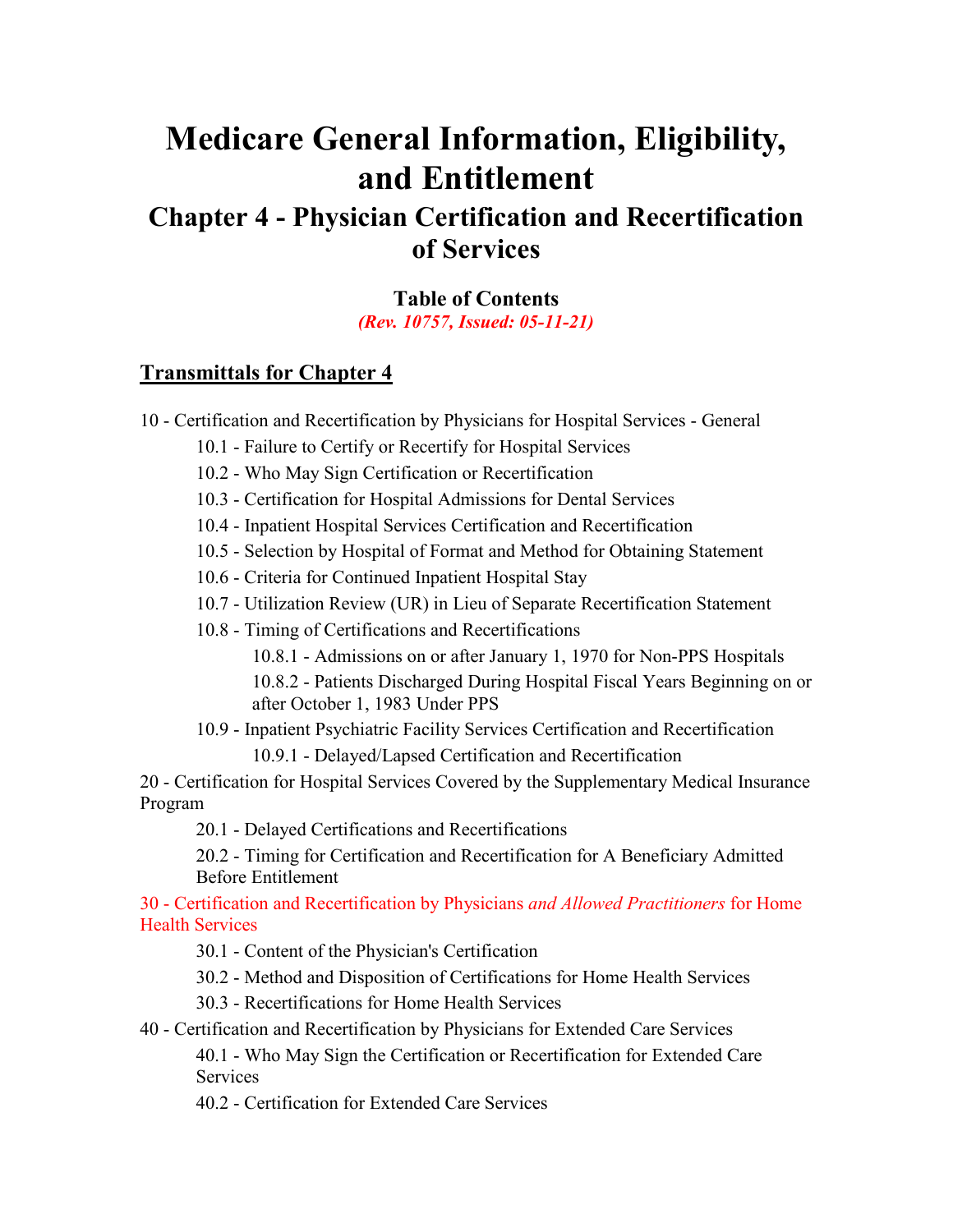# **Medicare General Information, Eligibility, and Entitlement**

# <span id="page-0-0"></span>**Chapter 4 - Physician Certification and Recertification of Services**

**Table of Contents** *(Rev. 10757, Issued: 05-11-21)*

#### **[Transmittals for Chapter 4](#page-20-0)**

10 - [Certification and Recertification by Physicians for Hospital Services -](#page-2-0) General

10.1 - [Failure to Certify or Recertify for Hospital Services](#page-2-1)

10.2 - [Who May Sign Certification or Recertification](#page-3-0)

10.3 - [Certification for Hospital Admissions for Dental Services](#page-3-1)

10.4 - [Inpatient Hospital Services Certification and Recertification](#page-3-2)

10.5 - [Selection by Hospital of Format and Method for Obtaining Statement](#page-3-3)

10.6 - [Criteria for Continued Inpatient Hospital Stay](#page-4-0)

10.7 - Utilization Review (UR) in Lieu [of Separate Recertification Statement](#page-4-1)

10.8 - [Timing of Certifications and Recertifications](#page-5-0)

10.8.1 - [Admissions on or after January 1, 1970 for Non-PPS Hospitals](#page-5-1) 10.8.2 - [Patients Discharged During Hospital Fiscal Years Beginning on or](#page-5-2)  [after October 1, 1983 Under PPS](#page-5-2)

10.9 - [Inpatient Psychiatric Facility Services Certification and Recertification](#page-6-0)

10.9.1 - [Delayed/Lapsed Certification and Recertification](#page-7-0)

20 - [Certification for Hospital Services Covered by the Supplementary Medical Insurance](#page-8-0)  [Program](#page-8-0)

20.1 - [Delayed Certifications and Recertifications](#page-9-0)

20.2 - [Timing for Certification and Recertification for A Beneficiary Admitted](#page-9-1)  [Before Entitlement](#page-9-1)

30 - [Certification and Recertification by Physicians](#page-9-2) *and Allowed Practitioners* for Home [Health Services](#page-9-2)

30.1 - [Content of the Physician's Certification](#page-10-0)

30.2 - [Method and Disposition of Certifications for Home Health Services](#page-11-0)

30.3 - [Recertifications for Home Health Services](#page-11-1)

40 - [Certification and Recertification by Physicians for Extended Care Services](#page-12-0) 40.1 - [Who May Sign the Certification or Recertification for Extended Care](#page-13-0)  **[Services](#page-13-0)** 

40.2 - [Certification for Extended Care Services](#page-13-1)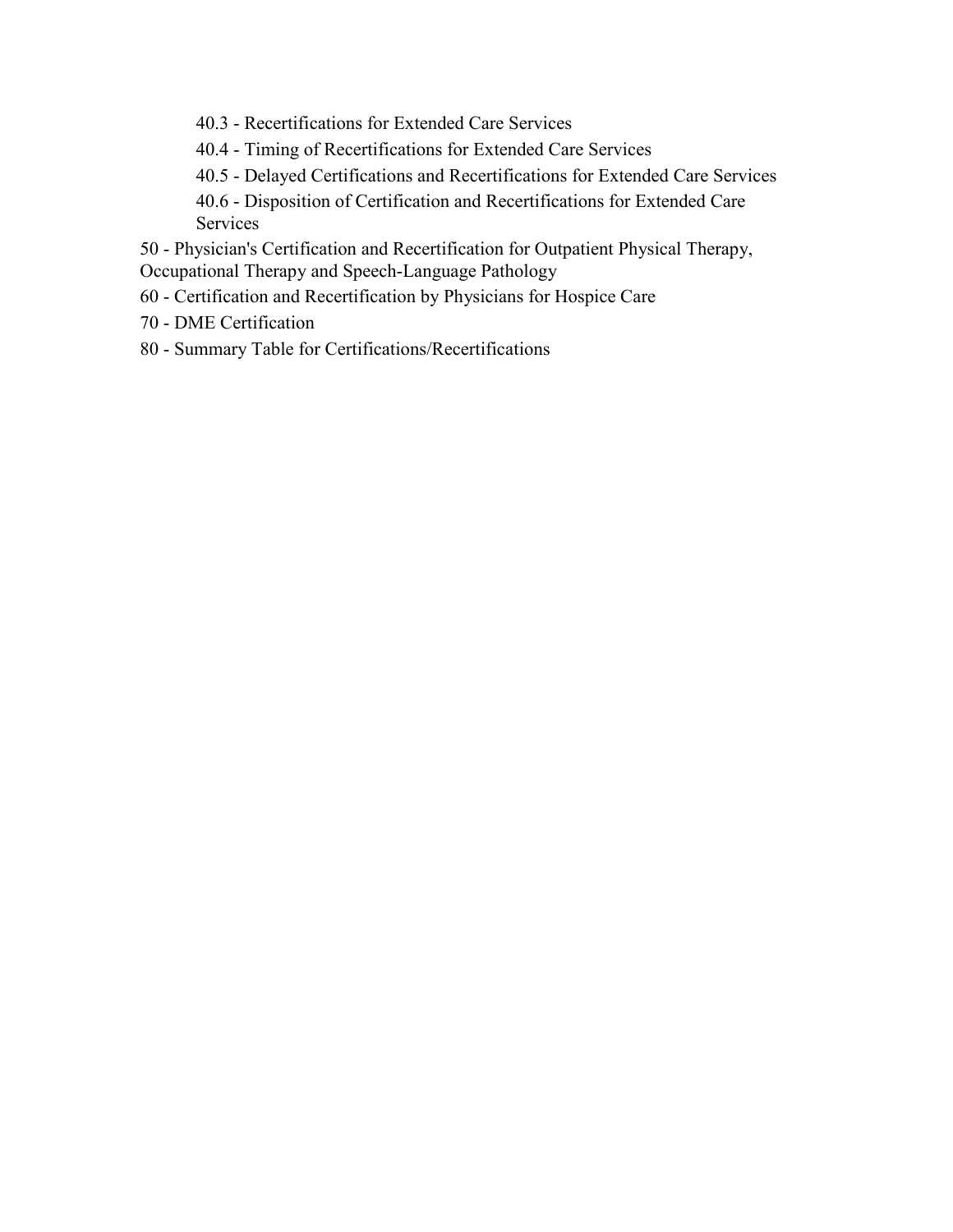- 40.3 [Recertifications for Extended Care Services](#page-15-0)
- 40.4 [Timing of Recertifications for Extended Care Services](#page-16-0)
- 40.5 [Delayed Certifications and Recertifications for Extended Care Services](#page-16-1)

40.6 - [Disposition of Certification and Recertifications for Extended Care](#page-16-2)  [Services](#page-16-2)

50 - [Physician's Certification and Recertification for Outpatient Physical Therapy,](#page-17-0) Occupational Therapy and Speech-Language Pathology

- 60 [Certification and Recertification by Physicians for Hospice Care](#page-17-1)
- 70 [DME Certification](#page-18-0)
- 80 [Summary Table for Certifications/Recertifications](#page-18-1)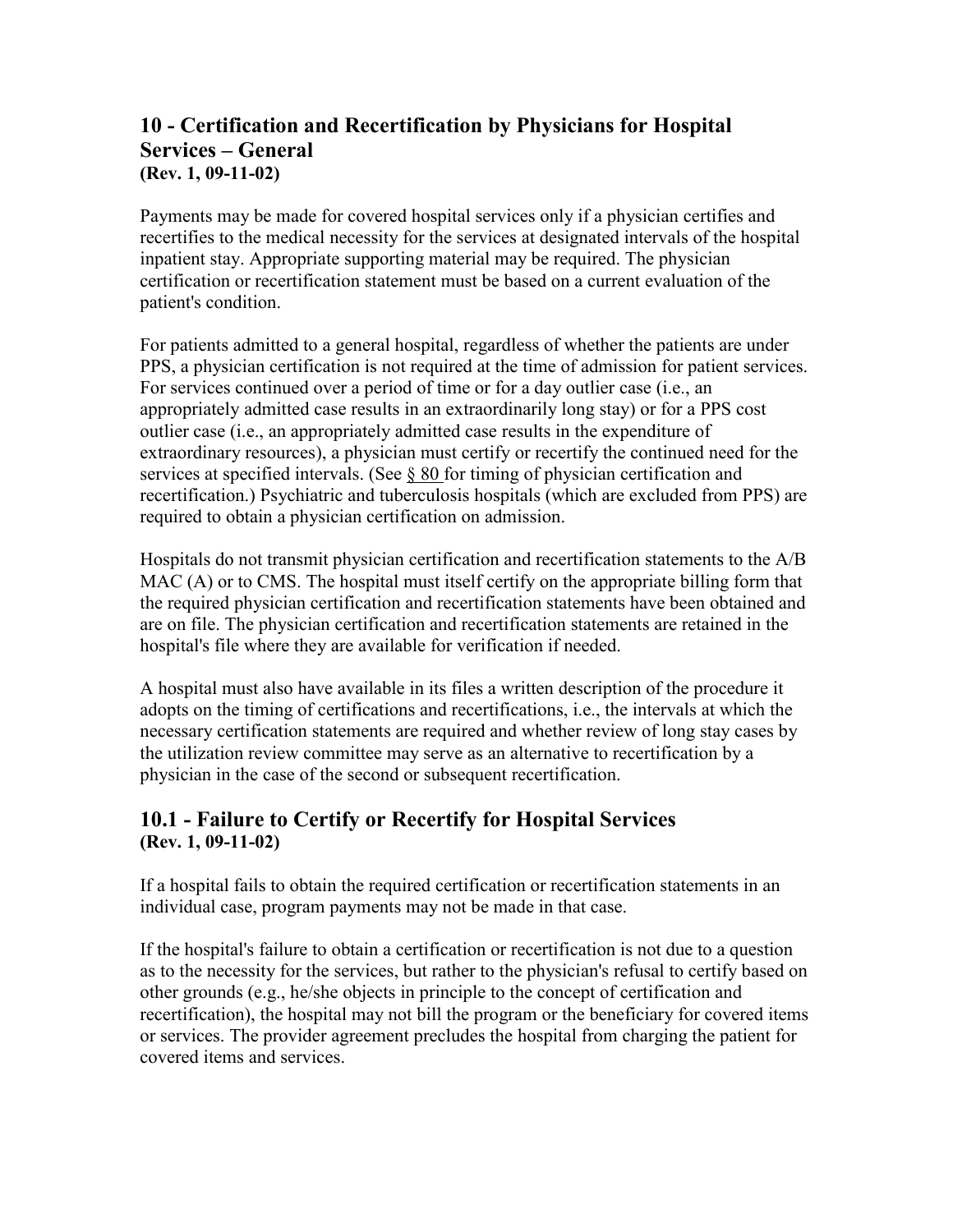#### <span id="page-2-0"></span>**10 - Certification and Recertification by Physicians for Hospital Services – General (Rev. 1, 09-11-02)**

Payments may be made for covered hospital services only if a physician certifies and recertifies to the medical necessity for the services at designated intervals of the hospital inpatient stay. Appropriate supporting material may be required. The physician certification or recertification statement must be based on a current evaluation of the patient's condition.

For patients admitted to a general hospital, regardless of whether the patients are under PPS, a physician certification is not required at the time of admission for patient services. For services continued over a period of time or for a day outlier case (i.e., an appropriately admitted case results in an extraordinarily long stay) or for a PPS cost outlier case (i.e., an appropriately admitted case results in the expenditure of extraordinary resources), a physician must certify or recertify the continued need for the services at specified intervals. (See [§ 80 f](http://cms.hhs.gov/manuals/101_general/#80)or timing of physician certification and recertification.) Psychiatric and tuberculosis hospitals (which are excluded from PPS) are required to obtain a physician certification on admission.

Hospitals do not transmit physician certification and recertification statements to the A/B MAC (A) or to CMS. The hospital must itself certify on the appropriate billing form that the required physician certification and recertification statements have been obtained and are on file. The physician certification and recertification statements are retained in the hospital's file where they are available for verification if needed.

A hospital must also have available in its files a written description of the procedure it adopts on the timing of certifications and recertifications, i.e., the intervals at which the necessary certification statements are required and whether review of long stay cases by the utilization review committee may serve as an alternative to recertification by a physician in the case of the second or subsequent recertification.

#### <span id="page-2-1"></span>**10.1 - Failure to Certify or Recertify for Hospital Services (Rev. 1, 09-11-02)**

If a hospital fails to obtain the required certification or recertification statements in an individual case, program payments may not be made in that case.

If the hospital's failure to obtain a certification or recertification is not due to a question as to the necessity for the services, but rather to the physician's refusal to certify based on other grounds (e.g., he/she objects in principle to the concept of certification and recertification), the hospital may not bill the program or the beneficiary for covered items or services. The provider agreement precludes the hospital from charging the patient for covered items and services.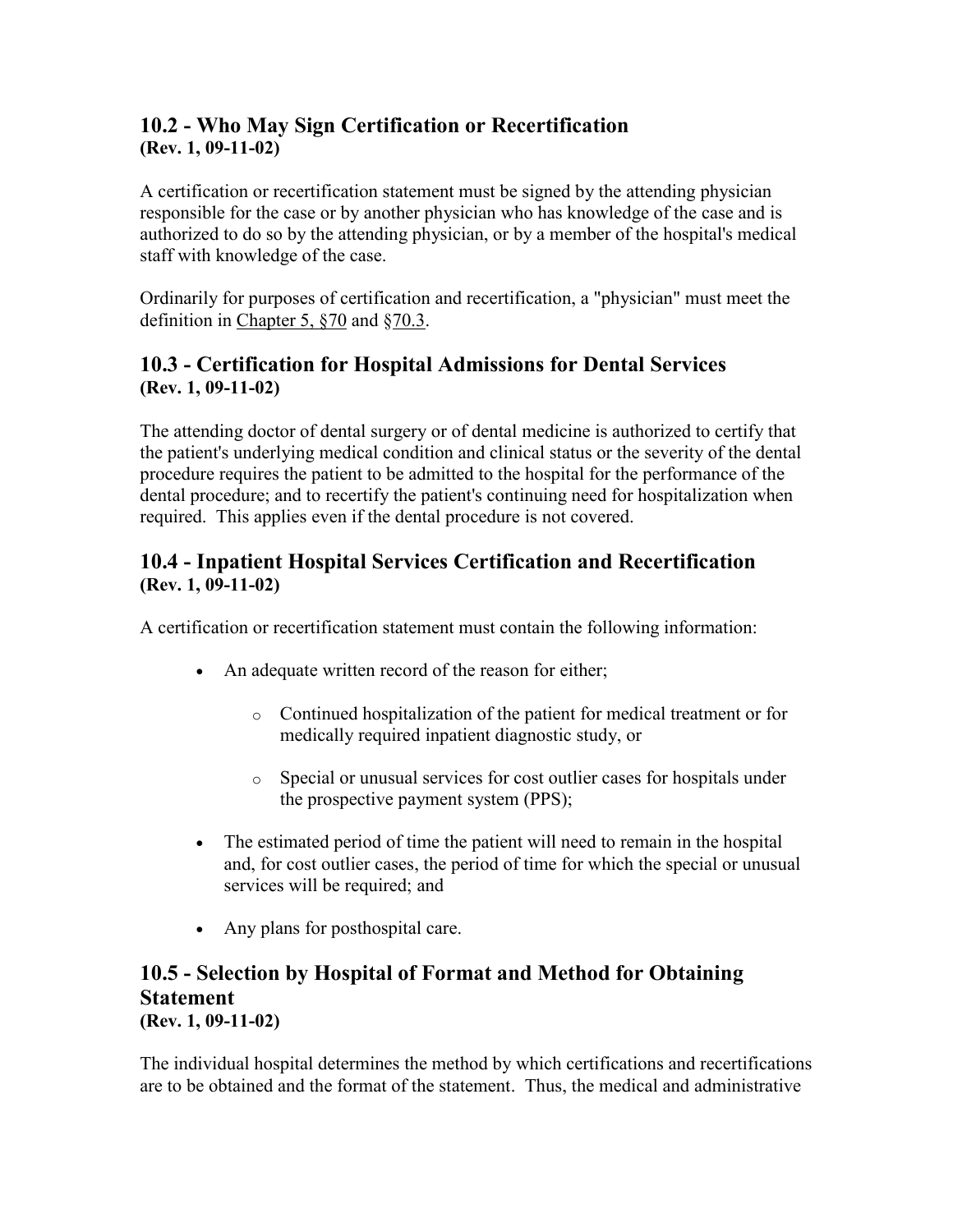#### <span id="page-3-0"></span>**10.2 - Who May Sign Certification or Recertification (Rev. 1, 09-11-02)**

A certification or recertification statement must be signed by the attending physician responsible for the case or by another physician who has knowledge of the case and is authorized to do so by the attending physician, or by a member of the hospital's medical staff with knowledge of the case.

Ordinarily for purposes of certification and recertification, a "physician" must meet the definition in [Chapter 5, §70](http://cms.hhs.gov/manuals/101_general/ge101c05.htm#70) and [§70.3.](http://cms.hhs.gov/manuals/101_general/ge101c05.htm#70.3)

#### <span id="page-3-1"></span>**10.3 - Certification for Hospital Admissions for Dental Services (Rev. 1, 09-11-02)**

The attending doctor of dental surgery or of dental medicine is authorized to certify that the patient's underlying medical condition and clinical status or the severity of the dental procedure requires the patient to be admitted to the hospital for the performance of the dental procedure; and to recertify the patient's continuing need for hospitalization when required. This applies even if the dental procedure is not covered.

#### <span id="page-3-2"></span>**10.4 - Inpatient Hospital Services Certification and Recertification (Rev. 1, 09-11-02)**

A certification or recertification statement must contain the following information:

- An adequate written record of the reason for either;
	- o Continued hospitalization of the patient for medical treatment or for medically required inpatient diagnostic study, or
	- o Special or unusual services for cost outlier cases for hospitals under the prospective payment system (PPS);
- The estimated period of time the patient will need to remain in the hospital and, for cost outlier cases, the period of time for which the special or unusual services will be required; and
- Any plans for posthospital care.

#### <span id="page-3-3"></span>**10.5 - Selection by Hospital of Format and Method for Obtaining Statement (Rev. 1, 09-11-02)**

The individual hospital determines the method by which certifications and recertifications are to be obtained and the format of the statement. Thus, the medical and administrative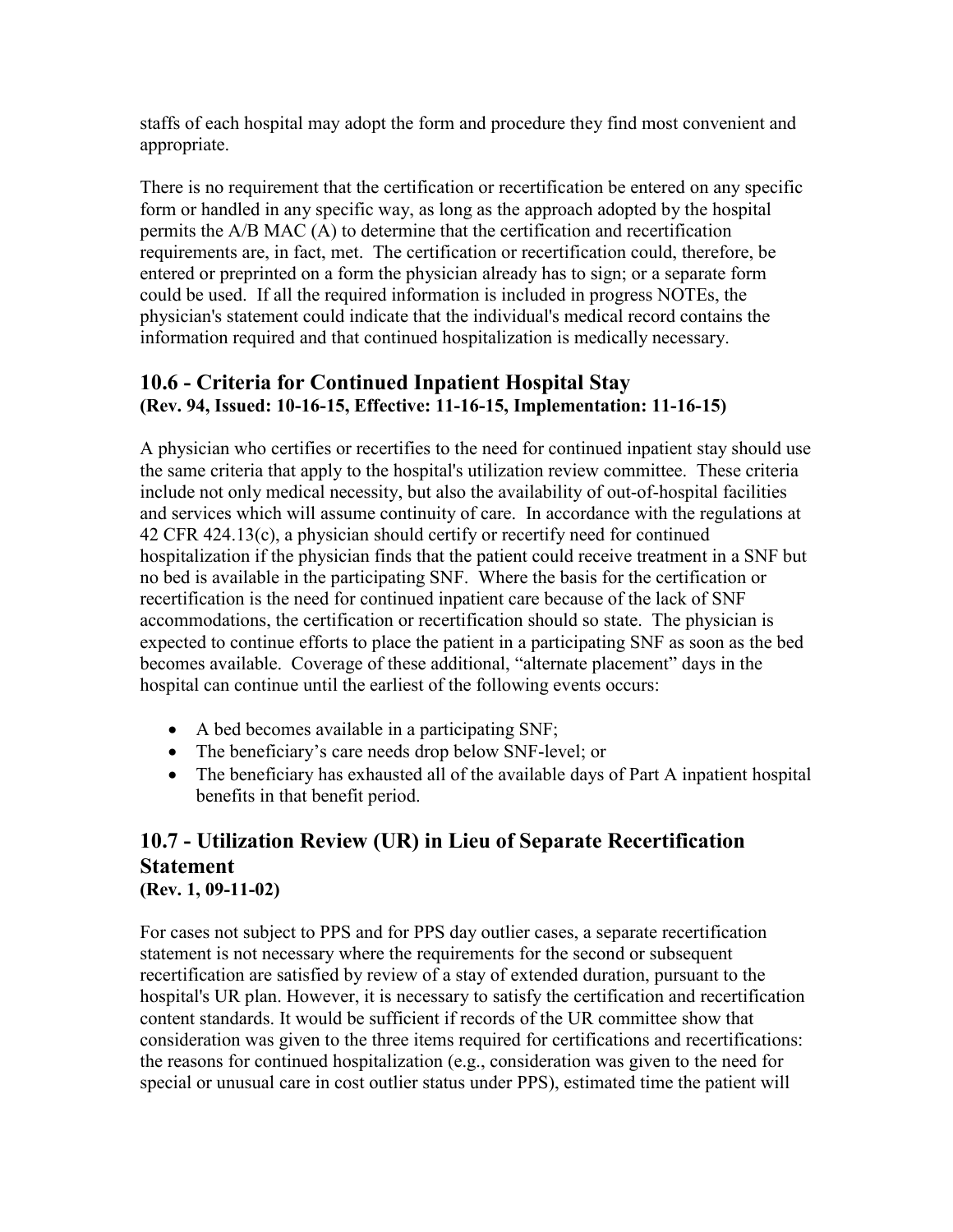staffs of each hospital may adopt the form and procedure they find most convenient and appropriate.

There is no requirement that the certification or recertification be entered on any specific form or handled in any specific way, as long as the approach adopted by the hospital permits the A/B MAC (A) to determine that the certification and recertification requirements are, in fact, met. The certification or recertification could, therefore, be entered or preprinted on a form the physician already has to sign; or a separate form could be used. If all the required information is included in progress NOTEs, the physician's statement could indicate that the individual's medical record contains the information required and that continued hospitalization is medically necessary.

#### <span id="page-4-0"></span>**10.6 - Criteria for Continued Inpatient Hospital Stay (Rev. 94, Issued: 10-16-15, Effective: 11-16-15, Implementation: 11-16-15)**

A physician who certifies or recertifies to the need for continued inpatient stay should use the same criteria that apply to the hospital's utilization review committee. These criteria include not only medical necessity, but also the availability of out-of-hospital facilities and services which will assume continuity of care. In accordance with the regulations at 42 CFR 424.13(c), a physician should certify or recertify need for continued hospitalization if the physician finds that the patient could receive treatment in a SNF but no bed is available in the participating SNF. Where the basis for the certification or recertification is the need for continued inpatient care because of the lack of SNF accommodations, the certification or recertification should so state. The physician is expected to continue efforts to place the patient in a participating SNF as soon as the bed becomes available. Coverage of these additional, "alternate placement" days in the hospital can continue until the earliest of the following events occurs:

- A bed becomes available in a participating SNF;
- The beneficiary's care needs drop below SNF-level; or
- The beneficiary has exhausted all of the available days of Part A inpatient hospital benefits in that benefit period.

#### <span id="page-4-1"></span>**10.7 - Utilization Review (UR) in Lieu of Separate Recertification Statement (Rev. 1, 09-11-02)**

For cases not subject to PPS and for PPS day outlier cases, a separate recertification statement is not necessary where the requirements for the second or subsequent recertification are satisfied by review of a stay of extended duration, pursuant to the hospital's UR plan. However, it is necessary to satisfy the certification and recertification content standards. It would be sufficient if records of the UR committee show that consideration was given to the three items required for certifications and recertifications: the reasons for continued hospitalization (e.g., consideration was given to the need for special or unusual care in cost outlier status under PPS), estimated time the patient will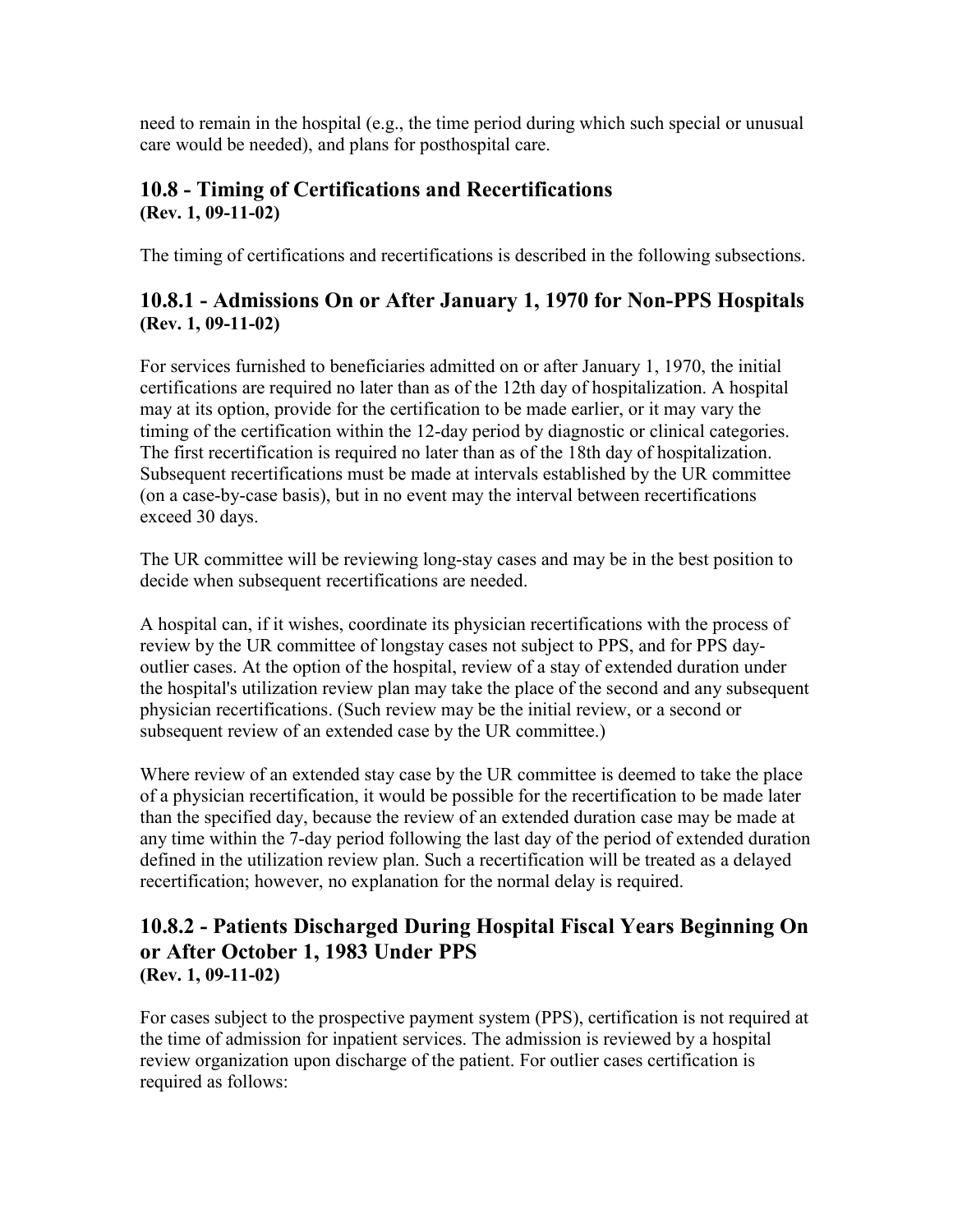need to remain in the hospital (e.g., the time period during which such special or unusual care would be needed), and plans for posthospital care.

#### <span id="page-5-0"></span>**10.8 - Timing of Certifications and Recertifications (Rev. 1, 09-11-02)**

The timing of certifications and recertifications is described in the following subsections.

#### <span id="page-5-1"></span>**10.8.1 - Admissions On or After January 1, 1970 for Non-PPS Hospitals (Rev. 1, 09-11-02)**

For services furnished to beneficiaries admitted on or after January 1, 1970, the initial certifications are required no later than as of the 12th day of hospitalization. A hospital may at its option, provide for the certification to be made earlier, or it may vary the timing of the certification within the 12-day period by diagnostic or clinical categories. The first recertification is required no later than as of the 18th day of hospitalization. Subsequent recertifications must be made at intervals established by the UR committee (on a case-by-case basis), but in no event may the interval between recertifications exceed 30 days.

The UR committee will be reviewing long-stay cases and may be in the best position to decide when subsequent recertifications are needed.

A hospital can, if it wishes, coordinate its physician recertifications with the process of review by the UR committee of longstay cases not subject to PPS, and for PPS dayoutlier cases. At the option of the hospital, review of a stay of extended duration under the hospital's utilization review plan may take the place of the second and any subsequent physician recertifications. (Such review may be the initial review, or a second or subsequent review of an extended case by the UR committee.)

Where review of an extended stay case by the UR committee is deemed to take the place of a physician recertification, it would be possible for the recertification to be made later than the specified day, because the review of an extended duration case may be made at any time within the 7-day period following the last day of the period of extended duration defined in the utilization review plan. Such a recertification will be treated as a delayed recertification; however, no explanation for the normal delay is required.

#### <span id="page-5-2"></span>**10.8.2 - Patients Discharged During Hospital Fiscal Years Beginning On or After October 1, 1983 Under PPS (Rev. 1, 09-11-02)**

For cases subject to the prospective payment system (PPS), certification is not required at the time of admission for inpatient services. The admission is reviewed by a hospital review organization upon discharge of the patient. For outlier cases certification is required as follows: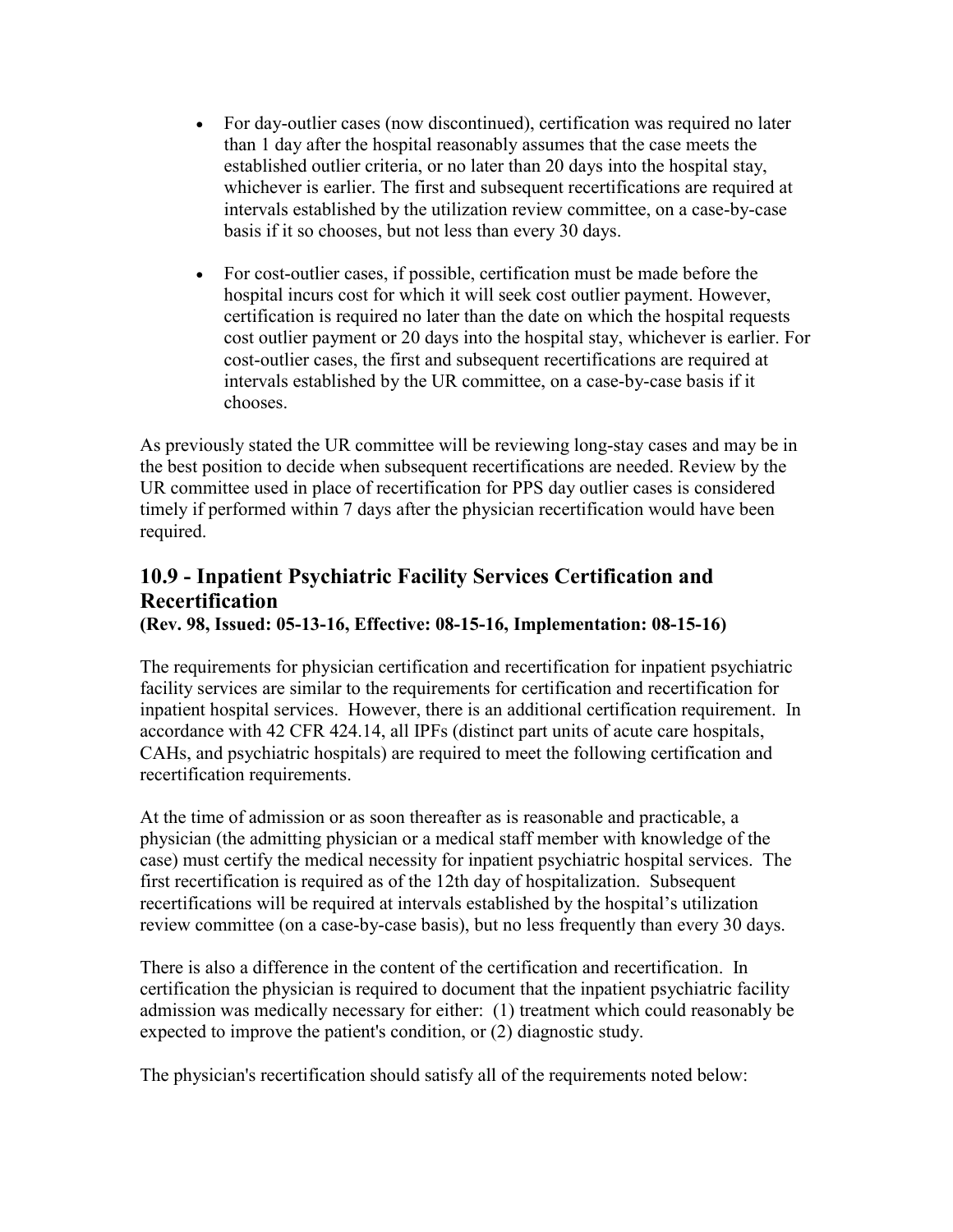- For day-outlier cases (now discontinued), certification was required no later than 1 day after the hospital reasonably assumes that the case meets the established outlier criteria, or no later than 20 days into the hospital stay, whichever is earlier. The first and subsequent recertifications are required at intervals established by the utilization review committee, on a case-by-case basis if it so chooses, but not less than every 30 days.
- For cost-outlier cases, if possible, certification must be made before the hospital incurs cost for which it will seek cost outlier payment. However, certification is required no later than the date on which the hospital requests cost outlier payment or 20 days into the hospital stay, whichever is earlier. For cost-outlier cases, the first and subsequent recertifications are required at intervals established by the UR committee, on a case-by-case basis if it chooses.

As previously stated the UR committee will be reviewing long-stay cases and may be in the best position to decide when subsequent recertifications are needed. Review by the UR committee used in place of recertification for PPS day outlier cases is considered timely if performed within 7 days after the physician recertification would have been required.

### <span id="page-6-0"></span>**10.9 - Inpatient Psychiatric Facility Services Certification and Recertification**

**(Rev. 98, Issued: 05-13-16, Effective: 08-15-16, Implementation: 08-15-16)**

The requirements for physician certification and recertification for inpatient psychiatric facility services are similar to the requirements for certification and recertification for inpatient hospital services. However, there is an additional certification requirement. In accordance with 42 CFR 424.14, all IPFs (distinct part units of acute care hospitals, CAHs, and psychiatric hospitals) are required to meet the following certification and recertification requirements.

At the time of admission or as soon thereafter as is reasonable and practicable, a physician (the admitting physician or a medical staff member with knowledge of the case) must certify the medical necessity for inpatient psychiatric hospital services. The first recertification is required as of the 12th day of hospitalization. Subsequent recertifications will be required at intervals established by the hospital's utilization review committee (on a case-by-case basis), but no less frequently than every 30 days.

There is also a difference in the content of the certification and recertification. In certification the physician is required to document that the inpatient psychiatric facility admission was medically necessary for either: (1) treatment which could reasonably be expected to improve the patient's condition, or (2) diagnostic study.

The physician's recertification should satisfy all of the requirements noted below: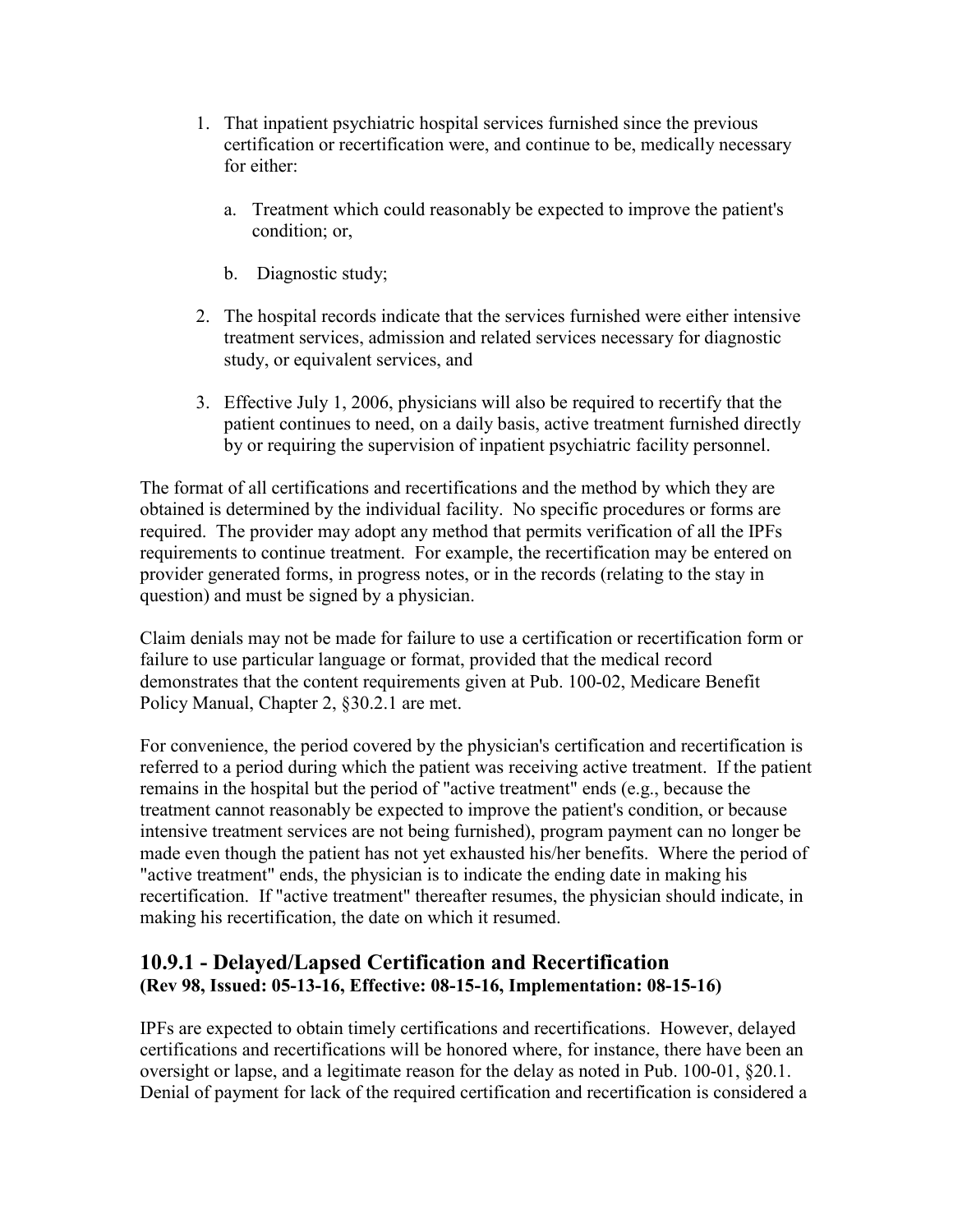- 1. That inpatient psychiatric hospital services furnished since the previous certification or recertification were, and continue to be, medically necessary for either:
	- a. Treatment which could reasonably be expected to improve the patient's condition; or,
	- b. Diagnostic study;
- 2. The hospital records indicate that the services furnished were either intensive treatment services, admission and related services necessary for diagnostic study, or equivalent services, and
- 3. Effective July 1, 2006, physicians will also be required to recertify that the patient continues to need, on a daily basis, active treatment furnished directly by or requiring the supervision of inpatient psychiatric facility personnel.

The format of all certifications and recertifications and the method by which they are obtained is determined by the individual facility. No specific procedures or forms are required. The provider may adopt any method that permits verification of all the IPFs requirements to continue treatment. For example, the recertification may be entered on provider generated forms, in progress notes, or in the records (relating to the stay in question) and must be signed by a physician.

Claim denials may not be made for failure to use a certification or recertification form or failure to use particular language or format, provided that the medical record demonstrates that the content requirements given at Pub. 100-02, Medicare Benefit Policy Manual, Chapter 2, §30.2.1 are met.

For convenience, the period covered by the physician's certification and recertification is referred to a period during which the patient was receiving active treatment. If the patient remains in the hospital but the period of "active treatment" ends (e.g., because the treatment cannot reasonably be expected to improve the patient's condition, or because intensive treatment services are not being furnished), program payment can no longer be made even though the patient has not yet exhausted his/her benefits. Where the period of "active treatment" ends, the physician is to indicate the ending date in making his recertification. If "active treatment" thereafter resumes, the physician should indicate, in making his recertification, the date on which it resumed.

#### <span id="page-7-0"></span>**10.9.1 - Delayed/Lapsed Certification and Recertification (Rev 98, Issued: 05-13-16, Effective: 08-15-16, Implementation: 08-15-16)**

IPFs are expected to obtain timely certifications and recertifications. However, delayed certifications and recertifications will be honored where, for instance, there have been an oversight or lapse, and a legitimate reason for the delay as noted in Pub. 100-01, §20.1. Denial of payment for lack of the required certification and recertification is considered a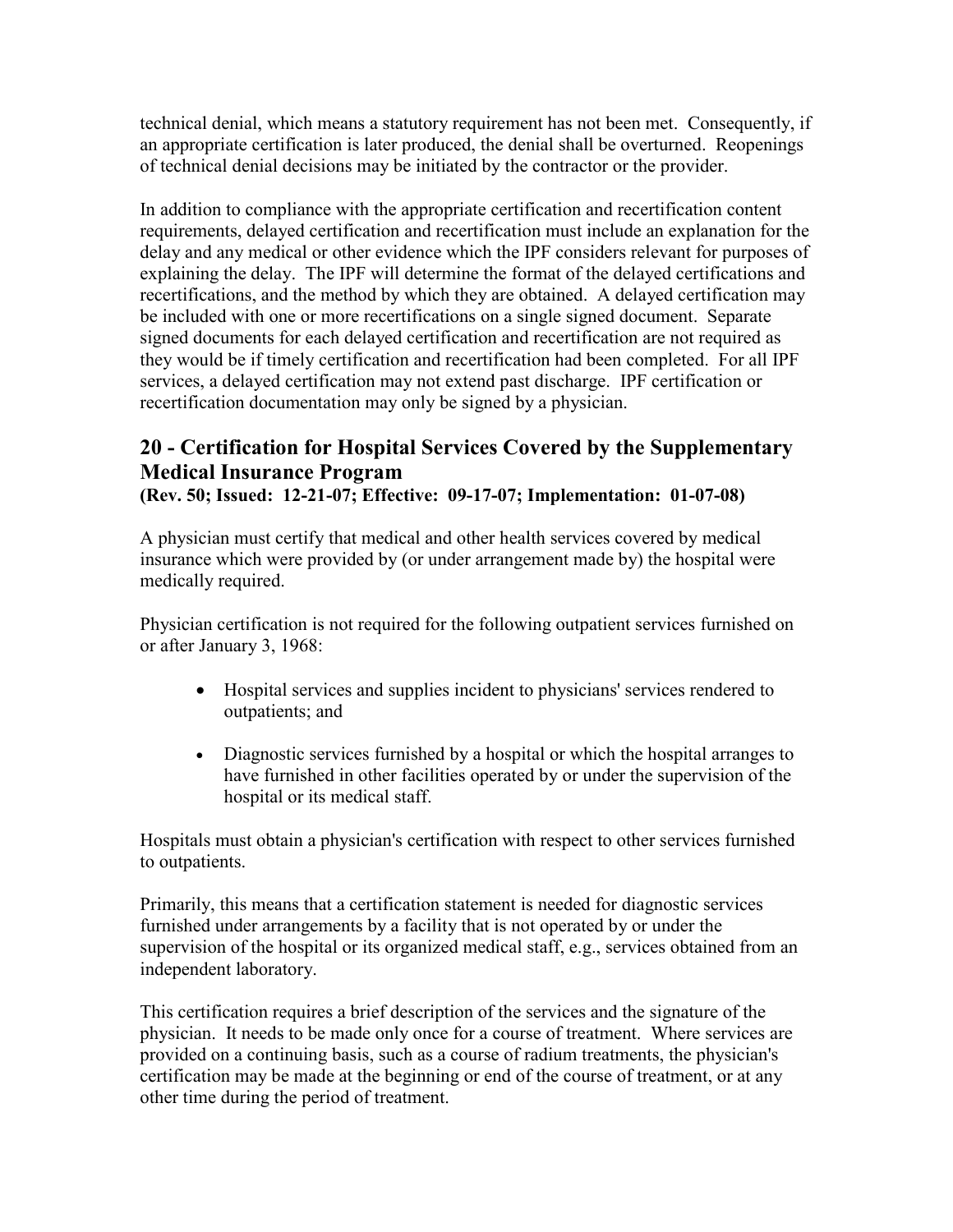technical denial, which means a statutory requirement has not been met. Consequently, if an appropriate certification is later produced, the denial shall be overturned. Reopenings of technical denial decisions may be initiated by the contractor or the provider.

In addition to compliance with the appropriate certification and recertification content requirements, delayed certification and recertification must include an explanation for the delay and any medical or other evidence which the IPF considers relevant for purposes of explaining the delay. The IPF will determine the format of the delayed certifications and recertifications, and the method by which they are obtained. A delayed certification may be included with one or more recertifications on a single signed document. Separate signed documents for each delayed certification and recertification are not required as they would be if timely certification and recertification had been completed. For all IPF services, a delayed certification may not extend past discharge. IPF certification or recertification documentation may only be signed by a physician.

## <span id="page-8-0"></span>**20 - Certification for Hospital Services Covered by the Supplementary Medical Insurance Program**

**(Rev. 50; Issued: 12-21-07; Effective: 09-17-07; Implementation: 01-07-08)**

A physician must certify that medical and other health services covered by medical insurance which were provided by (or under arrangement made by) the hospital were medically required.

Physician certification is not required for the following outpatient services furnished on or after January 3, 1968:

- Hospital services and supplies incident to physicians' services rendered to outpatients; and
- Diagnostic services furnished by a hospital or which the hospital arranges to have furnished in other facilities operated by or under the supervision of the hospital or its medical staff.

Hospitals must obtain a physician's certification with respect to other services furnished to outpatients.

Primarily, this means that a certification statement is needed for diagnostic services furnished under arrangements by a facility that is not operated by or under the supervision of the hospital or its organized medical staff, e.g., services obtained from an independent laboratory.

This certification requires a brief description of the services and the signature of the physician. It needs to be made only once for a course of treatment. Where services are provided on a continuing basis, such as a course of radium treatments, the physician's certification may be made at the beginning or end of the course of treatment, or at any other time during the period of treatment.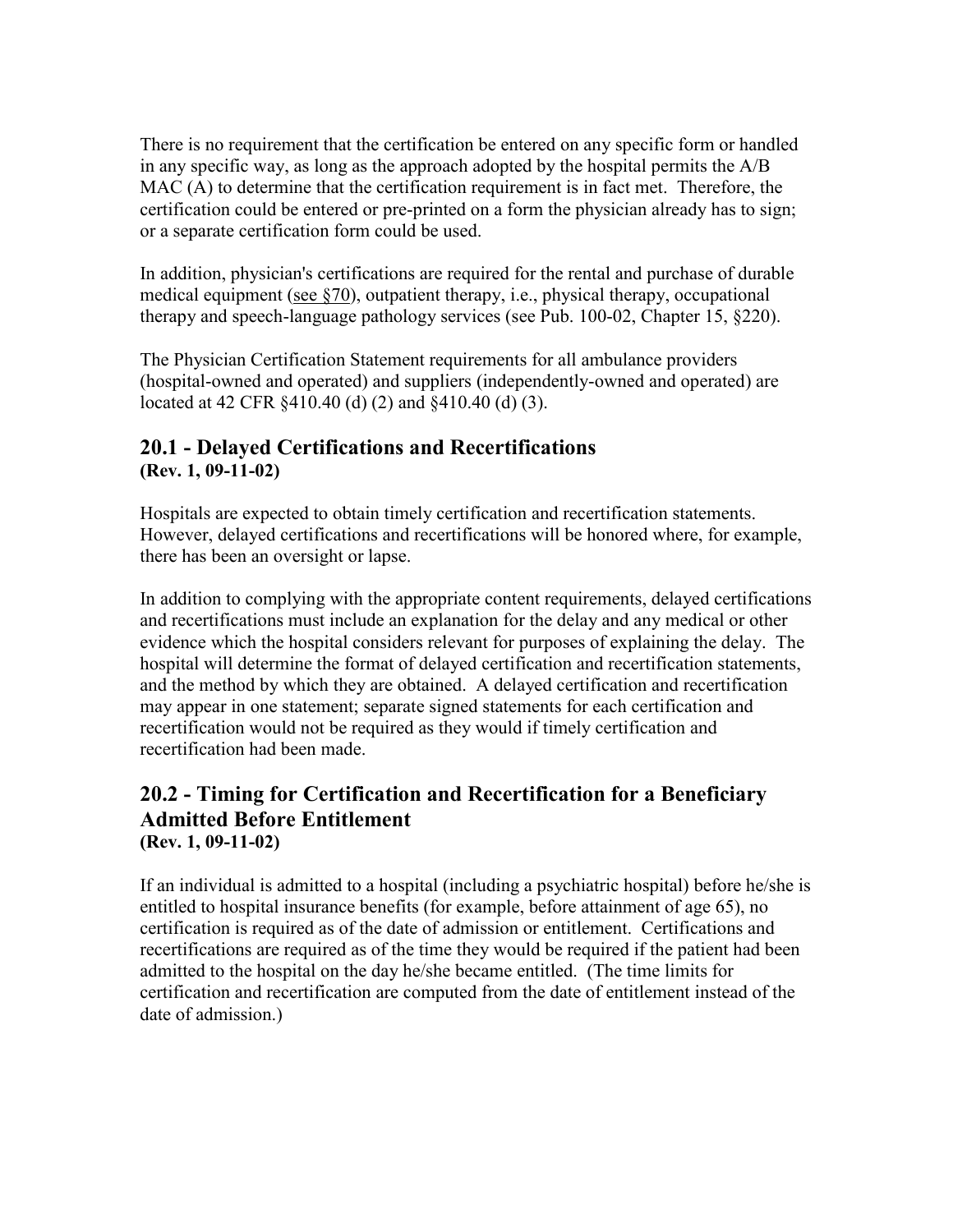There is no requirement that the certification be entered on any specific form or handled in any specific way, as long as the approach adopted by the hospital permits the A/B MAC (A) to determine that the certification requirement is in fact met. Therefore, the certification could be entered or pre-printed on a form the physician already has to sign; or a separate certification form could be used.

In addition, physician's certifications are required for the rental and purchase of durable medical equipment [\(see §70\)](http://www.cms.hhs.gov/manuals/101_general/#70), outpatient therapy, i.e., physical therapy, occupational therapy and speech-language pathology services (see Pub. 100-02, Chapter 15, §220).

The Physician Certification Statement requirements for all ambulance providers (hospital-owned and operated) and suppliers (independently-owned and operated) are located at 42 CFR §410.40 (d) (2) and §410.40 (d) (3).

#### <span id="page-9-0"></span>**20.1 - Delayed Certifications and Recertifications (Rev. 1, 09-11-02)**

Hospitals are expected to obtain timely certification and recertification statements. However, delayed certifications and recertifications will be honored where, for example, there has been an oversight or lapse.

In addition to complying with the appropriate content requirements, delayed certifications and recertifications must include an explanation for the delay and any medical or other evidence which the hospital considers relevant for purposes of explaining the delay. The hospital will determine the format of delayed certification and recertification statements, and the method by which they are obtained. A delayed certification and recertification may appear in one statement; separate signed statements for each certification and recertification would not be required as they would if timely certification and recertification had been made.

#### <span id="page-9-1"></span>**20.2 - Timing for Certification and Recertification for a Beneficiary Admitted Before Entitlement (Rev. 1, 09-11-02)**

<span id="page-9-2"></span>If an individual is admitted to a hospital (including a psychiatric hospital) before he/she is entitled to hospital insurance benefits (for example, before attainment of age 65), no certification is required as of the date of admission or entitlement. Certifications and recertifications are required as of the time they would be required if the patient had been admitted to the hospital on the day he/she became entitled. (The time limits for certification and recertification are computed from the date of entitlement instead of the date of admission.)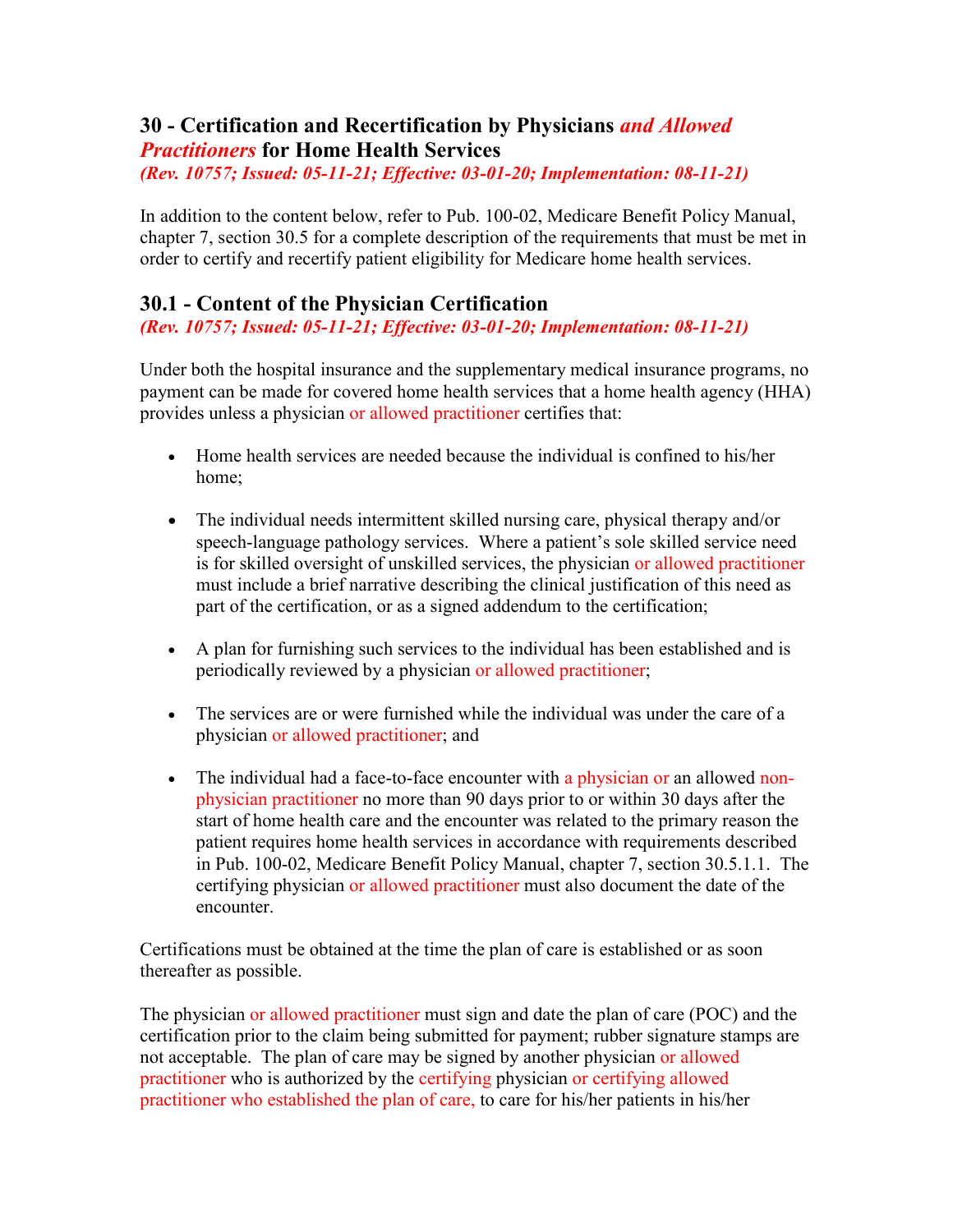#### **30 - Certification and Recertification by Physicians** *and Allowed Practitioners* **for Home Health Services**

*(Rev. 10757; Issued: 05-11-21; Effective: 03-01-20; Implementation: 08-11-21)*

In addition to the content below, refer to Pub. 100-02, Medicare Benefit Policy Manual, chapter 7, section 30.5 for a complete description of the requirements that must be met in order to certify and recertify patient eligibility for Medicare home health services.

#### <span id="page-10-0"></span>**30.1 - Content of the Physician Certification**

*(Rev. 10757; Issued: 05-11-21; Effective: 03-01-20; Implementation: 08-11-21)*

Under both the hospital insurance and the supplementary medical insurance programs, no payment can be made for covered home health services that a home health agency (HHA) provides unless a physician or allowed practitioner certifies that:

- Home health services are needed because the individual is confined to his/her home;
- The individual needs intermittent skilled nursing care, physical therapy and/or speech-language pathology services. Where a patient's sole skilled service need is for skilled oversight of unskilled services, the physician or allowed practitioner must include a brief narrative describing the clinical justification of this need as part of the certification, or as a signed addendum to the certification;
- A plan for furnishing such services to the individual has been established and is periodically reviewed by a physician or allowed practitioner;
- The services are or were furnished while the individual was under the care of a physician or allowed practitioner; and
- The individual had a face-to-face encounter with a physician or an allowed nonphysician practitioner no more than 90 days prior to or within 30 days after the start of home health care and the encounter was related to the primary reason the patient requires home health services in accordance with requirements described in Pub. 100-02, Medicare Benefit Policy Manual, chapter 7, section 30.5.1.1. The certifying physician or allowed practitioner must also document the date of the encounter.

Certifications must be obtained at the time the plan of care is established or as soon thereafter as possible.

The physician or allowed practitioner must sign and date the plan of care (POC) and the certification prior to the claim being submitted for payment; rubber signature stamps are not acceptable. The plan of care may be signed by another physician or allowed practitioner who is authorized by the certifying physician or certifying allowed practitioner who established the plan of care, to care for his/her patients in his/her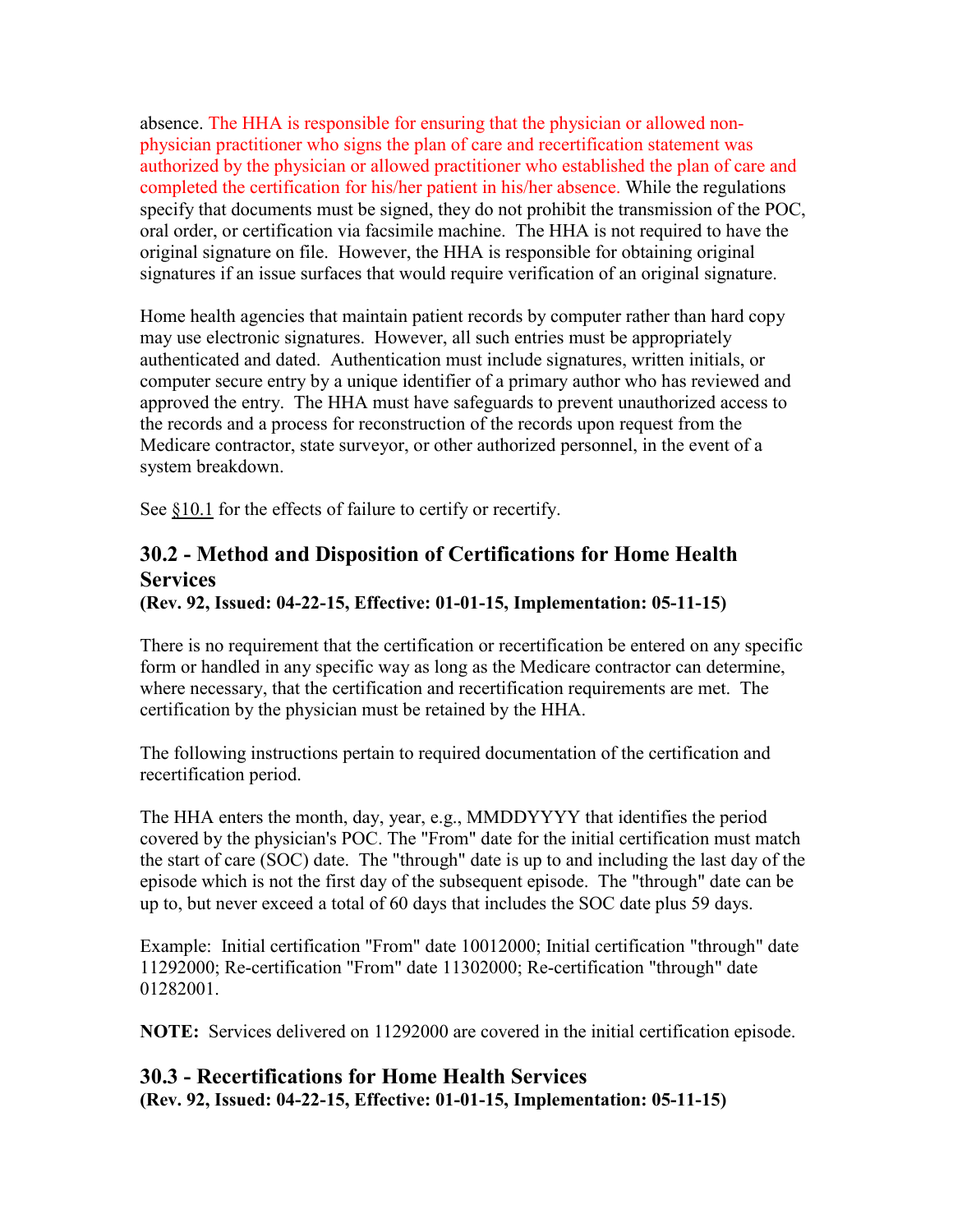absence. The HHA is responsible for ensuring that the physician or allowed nonphysician practitioner who signs the plan of care and recertification statement was authorized by the physician or allowed practitioner who established the plan of care and completed the certification for his/her patient in his/her absence. While the regulations specify that documents must be signed, they do not prohibit the transmission of the POC, oral order, or certification via facsimile machine. The HHA is not required to have the original signature on file. However, the HHA is responsible for obtaining original signatures if an issue surfaces that would require verification of an original signature.

Home health agencies that maintain patient records by computer rather than hard copy may use electronic signatures. However, all such entries must be appropriately authenticated and dated. Authentication must include signatures, written initials, or computer secure entry by a unique identifier of a primary author who has reviewed and approved the entry. The HHA must have safeguards to prevent unauthorized access to the records and a process for reconstruction of the records upon request from the Medicare contractor, state surveyor, or other authorized personnel, in the event of a system breakdown.

See [§10.1](http://www.cms.hhs.gov/manuals/101_general/#10.1) for the effects of failure to certify or recertify.

### <span id="page-11-0"></span>**30.2 - Method and Disposition of Certifications for Home Health Services**

**(Rev. 92, Issued: 04-22-15, Effective: 01-01-15, Implementation: 05-11-15)**

There is no requirement that the certification or recertification be entered on any specific form or handled in any specific way as long as the Medicare contractor can determine, where necessary, that the certification and recertification requirements are met. The certification by the physician must be retained by the HHA.

The following instructions pertain to required documentation of the certification and recertification period.

The HHA enters the month, day, year, e.g., MMDDYYYY that identifies the period covered by the physician's POC. The "From" date for the initial certification must match the start of care (SOC) date. The "through" date is up to and including the last day of the episode which is not the first day of the subsequent episode. The "through" date can be up to, but never exceed a total of 60 days that includes the SOC date plus 59 days.

Example: Initial certification "From" date 10012000; Initial certification "through" date 11292000; Re-certification "From" date 11302000; Re-certification "through" date 01282001.

**NOTE:** Services delivered on 11292000 are covered in the initial certification episode.

#### <span id="page-11-1"></span>**30.3 - Recertifications for Home Health Services (Rev. 92, Issued: 04-22-15, Effective: 01-01-15, Implementation: 05-11-15)**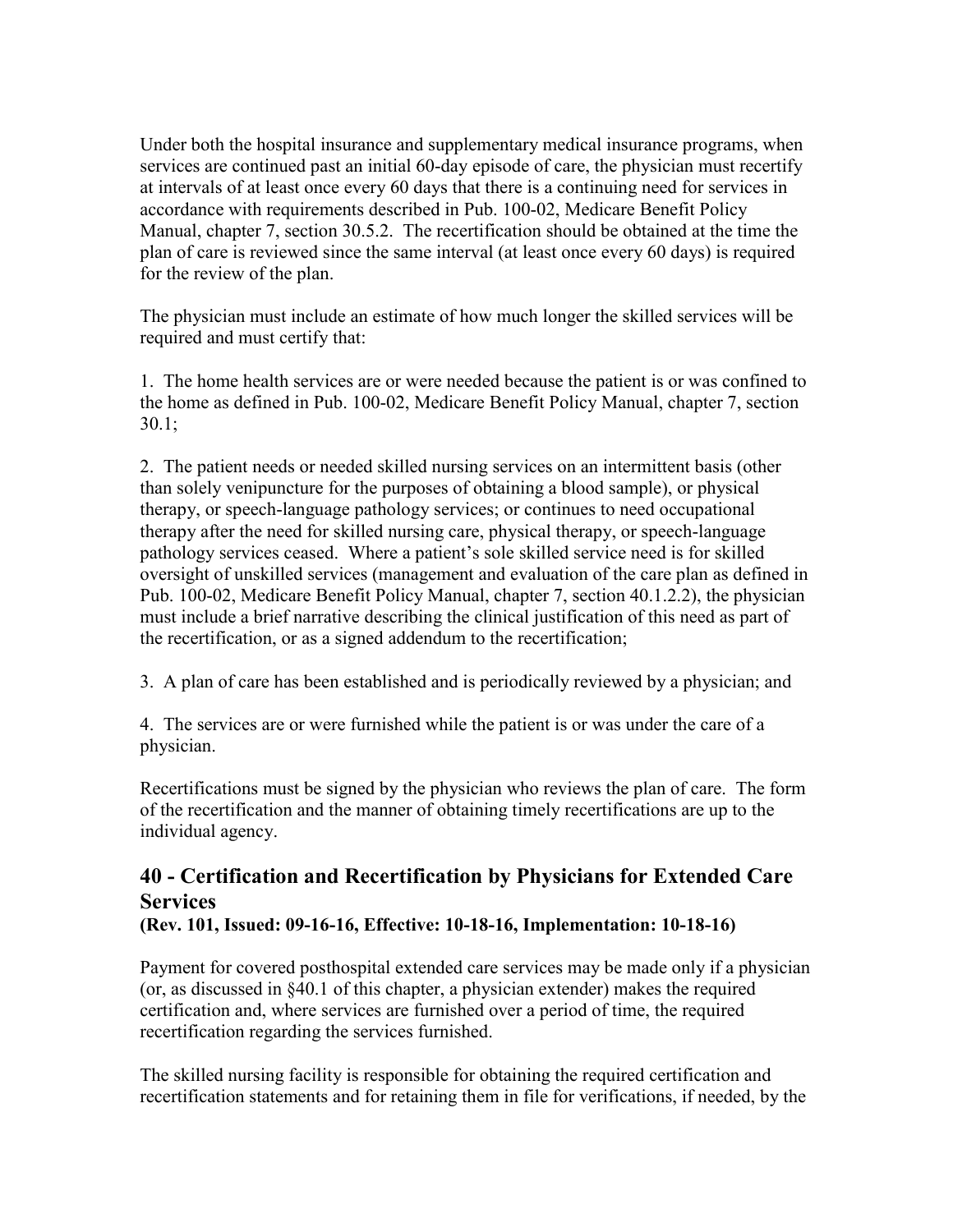Under both the hospital insurance and supplementary medical insurance programs, when services are continued past an initial 60-day episode of care, the physician must recertify at intervals of at least once every 60 days that there is a continuing need for services in accordance with requirements described in Pub. 100-02, Medicare Benefit Policy Manual, chapter 7, section 30.5.2. The recertification should be obtained at the time the plan of care is reviewed since the same interval (at least once every 60 days) is required for the review of the plan.

The physician must include an estimate of how much longer the skilled services will be required and must certify that:

1. The home health services are or were needed because the patient is or was confined to the home as defined in Pub. 100-02, Medicare Benefit Policy Manual, chapter 7, section 30.1;

2. The patient needs or needed skilled nursing services on an intermittent basis (other than solely venipuncture for the purposes of obtaining a blood sample), or physical therapy, or speech-language pathology services; or continues to need occupational therapy after the need for skilled nursing care, physical therapy, or speech-language pathology services ceased. Where a patient's sole skilled service need is for skilled oversight of unskilled services (management and evaluation of the care plan as defined in Pub. 100-02, Medicare Benefit Policy Manual, chapter 7, section 40.1.2.2), the physician must include a brief narrative describing the clinical justification of this need as part of the recertification, or as a signed addendum to the recertification;

3. A plan of care has been established and is periodically reviewed by a physician; and

4. The services are or were furnished while the patient is or was under the care of a physician.

Recertifications must be signed by the physician who reviews the plan of care. The form of the recertification and the manner of obtaining timely recertifications are up to the individual agency.

# <span id="page-12-0"></span>**40 - Certification and Recertification by Physicians for Extended Care Services**

**(Rev. 101, Issued: 09-16-16, Effective: 10-18-16, Implementation: 10-18-16)**

Payment for covered posthospital extended care services may be made only if a physician (or, as discussed in §40.1 of this chapter, a physician extender) makes the required certification and, where services are furnished over a period of time, the required recertification regarding the services furnished.

The skilled nursing facility is responsible for obtaining the required certification and recertification statements and for retaining them in file for verifications, if needed, by the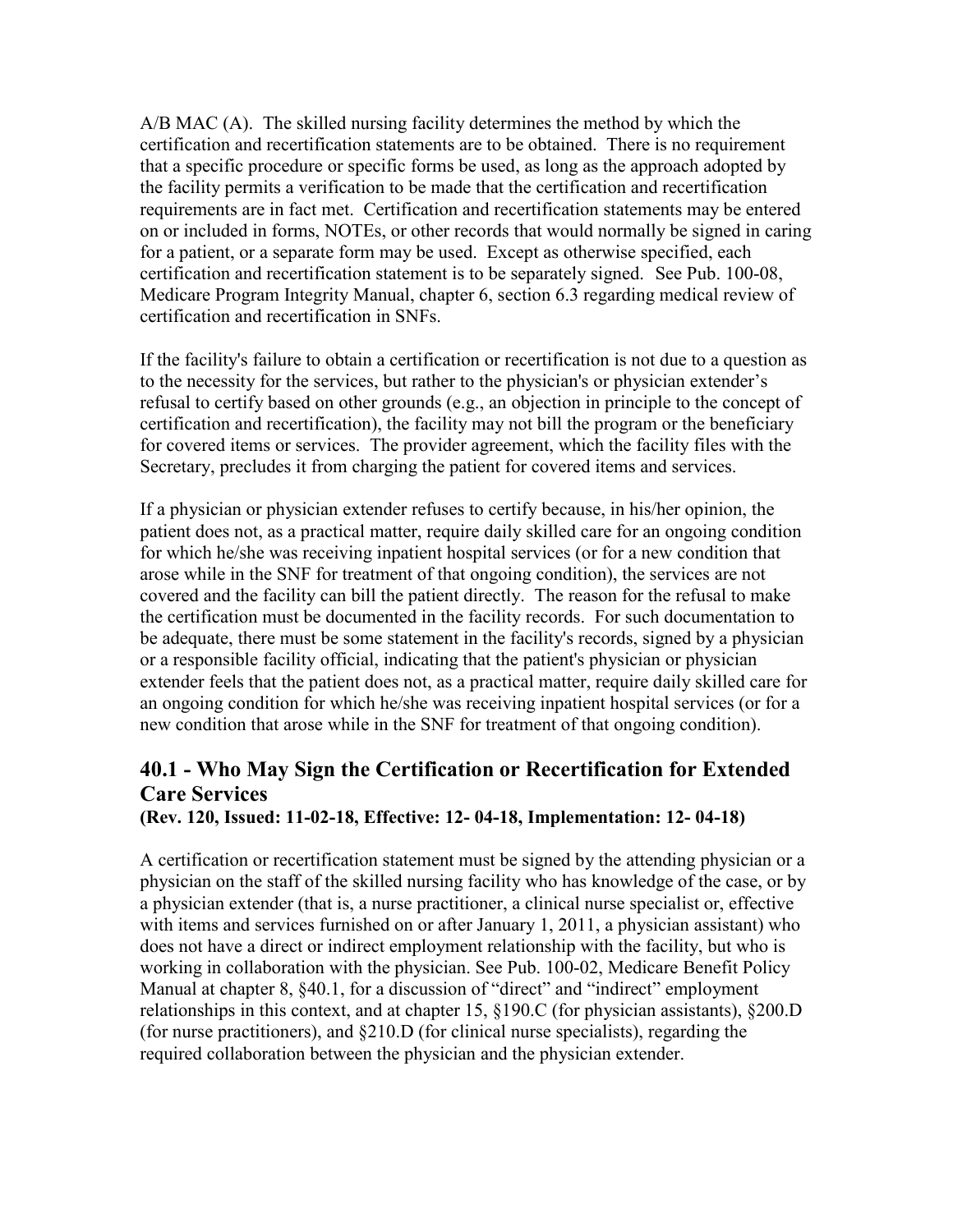A/B MAC (A). The skilled nursing facility determines the method by which the certification and recertification statements are to be obtained. There is no requirement that a specific procedure or specific forms be used, as long as the approach adopted by the facility permits a verification to be made that the certification and recertification requirements are in fact met. Certification and recertification statements may be entered on or included in forms, NOTEs, or other records that would normally be signed in caring for a patient, or a separate form may be used. Except as otherwise specified, each certification and recertification statement is to be separately signed. See Pub. 100-08, Medicare Program Integrity Manual, chapter 6, section 6.3 regarding medical review of certification and recertification in SNFs.

If the facility's failure to obtain a certification or recertification is not due to a question as to the necessity for the services, but rather to the physician's or physician extender's refusal to certify based on other grounds (e.g., an objection in principle to the concept of certification and recertification), the facility may not bill the program or the beneficiary for covered items or services. The provider agreement, which the facility files with the Secretary, precludes it from charging the patient for covered items and services.

If a physician or physician extender refuses to certify because, in his/her opinion, the patient does not, as a practical matter, require daily skilled care for an ongoing condition for which he/she was receiving inpatient hospital services (or for a new condition that arose while in the SNF for treatment of that ongoing condition), the services are not covered and the facility can bill the patient directly. The reason for the refusal to make the certification must be documented in the facility records. For such documentation to be adequate, there must be some statement in the facility's records, signed by a physician or a responsible facility official, indicating that the patient's physician or physician extender feels that the patient does not, as a practical matter, require daily skilled care for an ongoing condition for which he/she was receiving inpatient hospital services (or for a new condition that arose while in the SNF for treatment of that ongoing condition).

# <span id="page-13-0"></span>**40.1 - Who May Sign the Certification or Recertification for Extended Care Services**

<span id="page-13-1"></span>**(Rev. 120, Issued: 11-02-18, Effective: 12- 04-18, Implementation: 12- 04-18)** 

A certification or recertification statement must be signed by the attending physician or a physician on the staff of the skilled nursing facility who has knowledge of the case, or by a physician extender (that is, a nurse practitioner, a clinical nurse specialist or, effective with items and services furnished on or after January 1, 2011, a physician assistant) who does not have a direct or indirect employment relationship with the facility, but who is working in collaboration with the physician. See Pub. 100-02, Medicare Benefit Policy Manual at chapter 8, §40.1, for a discussion of "direct" and "indirect" employment relationships in this context, and at chapter 15, §190.C (for physician assistants), §200.D (for nurse practitioners), and §210.D (for clinical nurse specialists), regarding the required collaboration between the physician and the physician extender.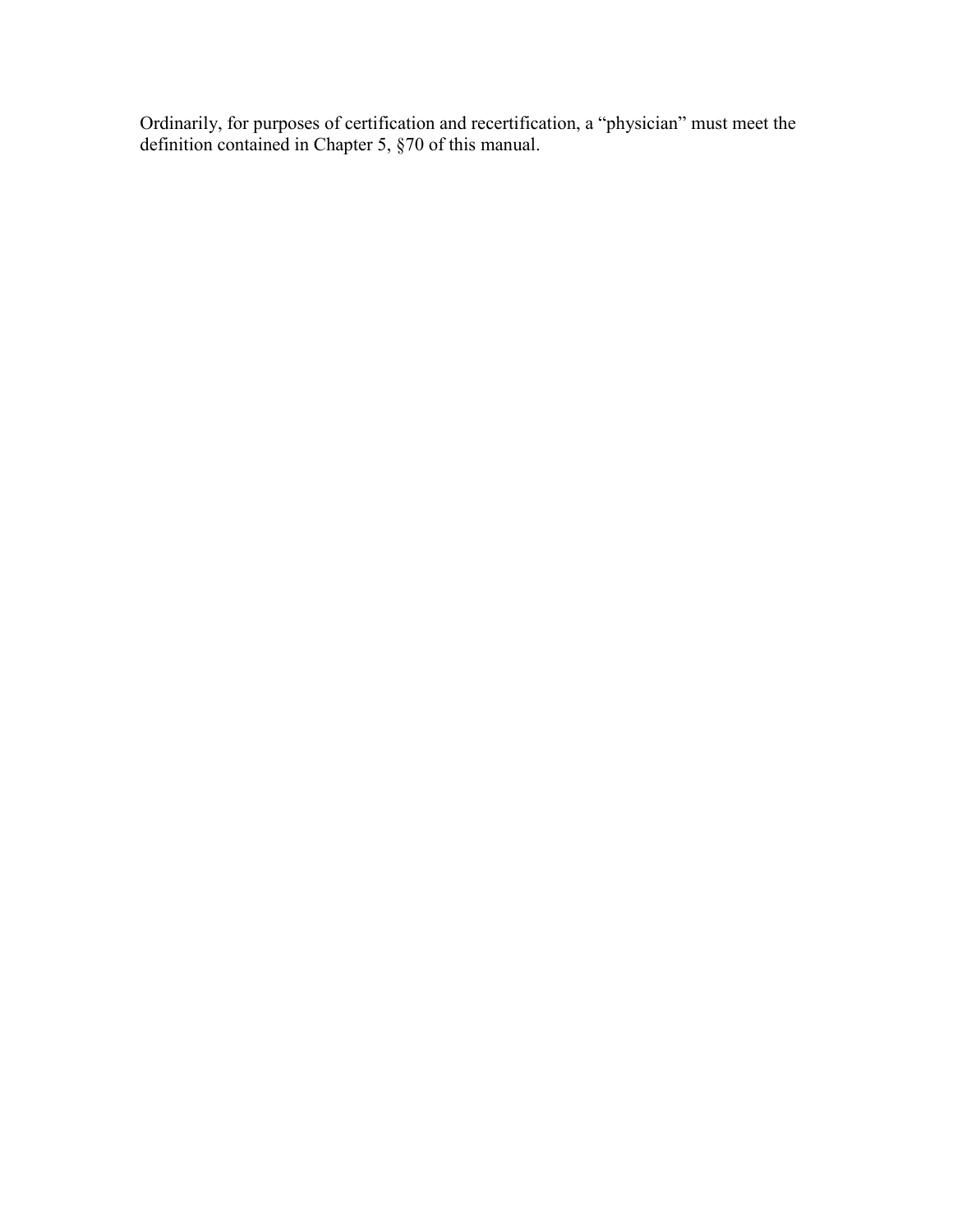Ordinarily, for purposes of certification and recertification, a "physician" must meet the definition contained in Chapter 5, §70 of this manual.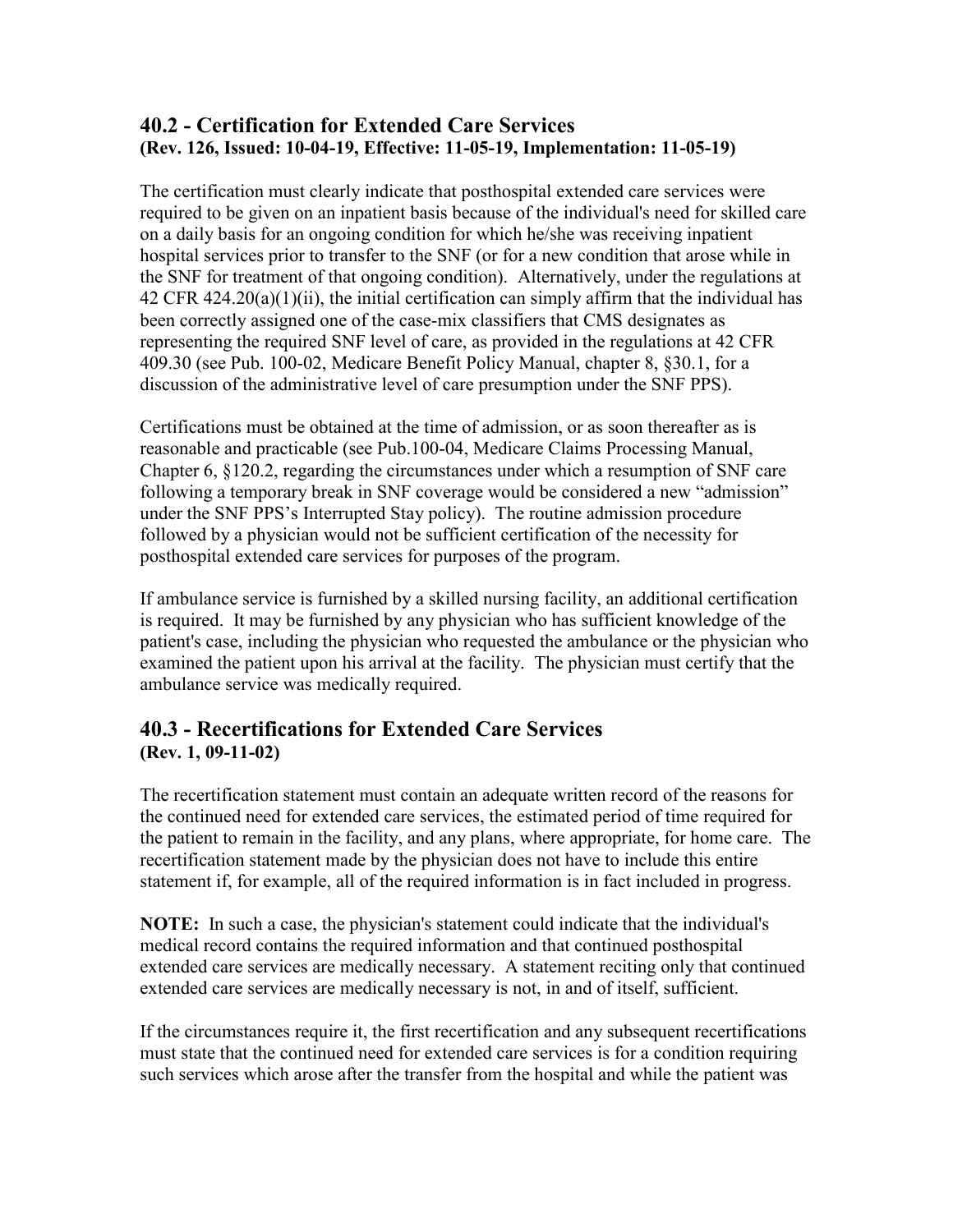#### **40.2 - Certification for Extended Care Services (Rev. 126, Issued: 10-04-19, Effective: 11-05-19, Implementation: 11-05-19)**

The certification must clearly indicate that posthospital extended care services were required to be given on an inpatient basis because of the individual's need for skilled care on a daily basis for an ongoing condition for which he/she was receiving inpatient hospital services prior to transfer to the SNF (or for a new condition that arose while in the SNF for treatment of that ongoing condition). Alternatively, under the regulations at  $42$  CFR  $424.20(a)(1)(ii)$ , the initial certification can simply affirm that the individual has been correctly assigned one of the case-mix classifiers that CMS designates as representing the required SNF level of care, as provided in the regulations at 42 CFR 409.30 (see Pub. 100-02, Medicare Benefit Policy Manual, chapter 8, §30.1, for a discussion of the administrative level of care presumption under the SNF PPS).

Certifications must be obtained at the time of admission, or as soon thereafter as is reasonable and practicable (see Pub.100-04, Medicare Claims Processing Manual, Chapter 6, §120.2, regarding the circumstances under which a resumption of SNF care following a temporary break in SNF coverage would be considered a new "admission" under the SNF PPS's Interrupted Stay policy). The routine admission procedure followed by a physician would not be sufficient certification of the necessity for posthospital extended care services for purposes of the program.

If ambulance service is furnished by a skilled nursing facility, an additional certification is required. It may be furnished by any physician who has sufficient knowledge of the patient's case, including the physician who requested the ambulance or the physician who examined the patient upon his arrival at the facility. The physician must certify that the ambulance service was medically required.

#### <span id="page-15-0"></span>**40.3 - Recertifications for Extended Care Services (Rev. 1, 09-11-02)**

The recertification statement must contain an adequate written record of the reasons for the continued need for extended care services, the estimated period of time required for the patient to remain in the facility, and any plans, where appropriate, for home care. The recertification statement made by the physician does not have to include this entire statement if, for example, all of the required information is in fact included in progress.

**NOTE:** In such a case, the physician's statement could indicate that the individual's medical record contains the required information and that continued posthospital extended care services are medically necessary. A statement reciting only that continued extended care services are medically necessary is not, in and of itself, sufficient.

If the circumstances require it, the first recertification and any subsequent recertifications must state that the continued need for extended care services is for a condition requiring such services which arose after the transfer from the hospital and while the patient was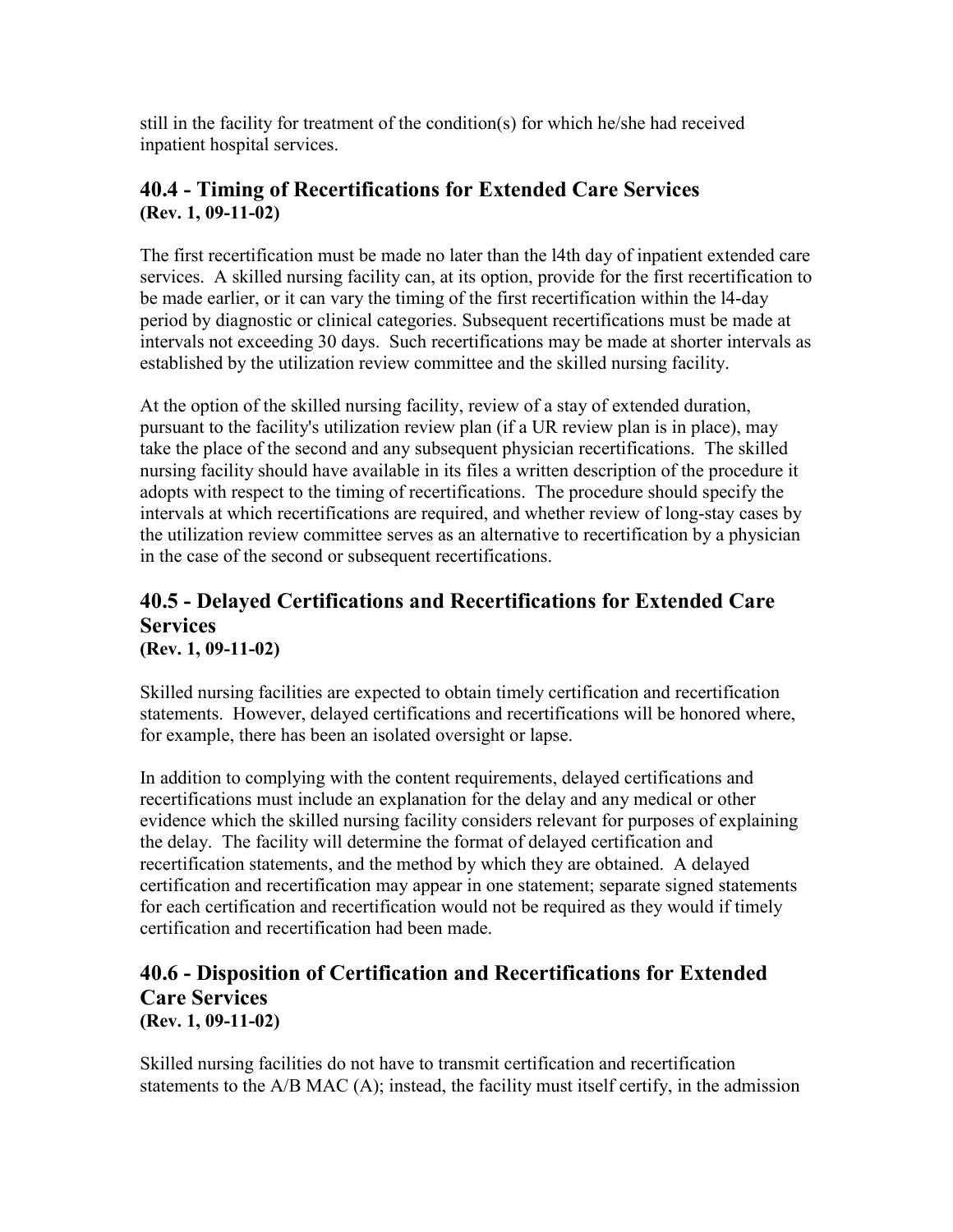still in the facility for treatment of the condition(s) for which he/she had received inpatient hospital services.

#### <span id="page-16-0"></span>**40.4 - Timing of Recertifications for Extended Care Services (Rev. 1, 09-11-02)**

The first recertification must be made no later than the l4th day of inpatient extended care services. A skilled nursing facility can, at its option, provide for the first recertification to be made earlier, or it can vary the timing of the first recertification within the l4-day period by diagnostic or clinical categories. Subsequent recertifications must be made at intervals not exceeding 30 days. Such recertifications may be made at shorter intervals as established by the utilization review committee and the skilled nursing facility.

At the option of the skilled nursing facility, review of a stay of extended duration, pursuant to the facility's utilization review plan (if a UR review plan is in place), may take the place of the second and any subsequent physician recertifications. The skilled nursing facility should have available in its files a written description of the procedure it adopts with respect to the timing of recertifications. The procedure should specify the intervals at which recertifications are required, and whether review of long-stay cases by the utilization review committee serves as an alternative to recertification by a physician in the case of the second or subsequent recertifications.

#### <span id="page-16-1"></span>**40.5 - Delayed Certifications and Recertifications for Extended Care Services (Rev. 1, 09-11-02)**

Skilled nursing facilities are expected to obtain timely certification and recertification statements. However, delayed certifications and recertifications will be honored where, for example, there has been an isolated oversight or lapse.

In addition to complying with the content requirements, delayed certifications and recertifications must include an explanation for the delay and any medical or other evidence which the skilled nursing facility considers relevant for purposes of explaining the delay. The facility will determine the format of delayed certification and recertification statements, and the method by which they are obtained. A delayed certification and recertification may appear in one statement; separate signed statements for each certification and recertification would not be required as they would if timely certification and recertification had been made.

#### <span id="page-16-2"></span>**40.6 - Disposition of Certification and Recertifications for Extended Care Services (Rev. 1, 09-11-02)**

Skilled nursing facilities do not have to transmit certification and recertification statements to the A/B MAC (A); instead, the facility must itself certify, in the admission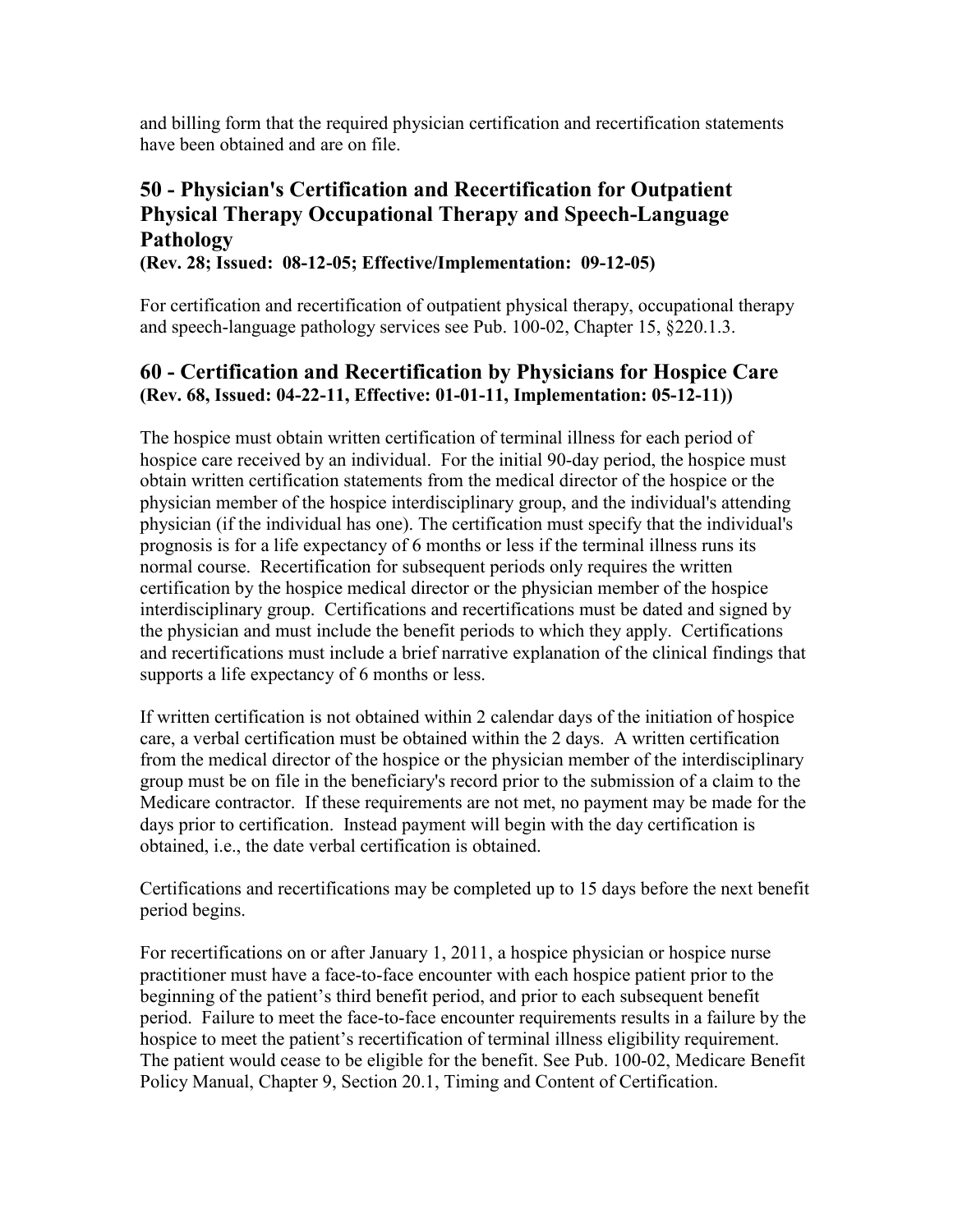and billing form that the required physician certification and recertification statements have been obtained and are on file.

## <span id="page-17-0"></span>**50 - Physician's Certification and Recertification for Outpatient Physical Therapy Occupational Therapy and Speech-Language Pathology**

**(Rev. 28; Issued: 08-12-05; Effective/Implementation: 09-12-05)**

For certification and recertification of outpatient physical therapy, occupational therapy and speech-language pathology services see Pub. 100-02, Chapter 15, §220.1.3.

#### <span id="page-17-1"></span>**60 - Certification and Recertification by Physicians for Hospice Care (Rev. 68, Issued: 04-22-11, Effective: 01-01-11, Implementation: 05-12-11))**

The hospice must obtain written certification of terminal illness for each period of hospice care received by an individual. For the initial 90-day period, the hospice must obtain written certification statements from the medical director of the hospice or the physician member of the hospice interdisciplinary group, and the individual's attending physician (if the individual has one). The certification must specify that the individual's prognosis is for a life expectancy of 6 months or less if the terminal illness runs its normal course. Recertification for subsequent periods only requires the written certification by the hospice medical director or the physician member of the hospice interdisciplinary group. Certifications and recertifications must be dated and signed by the physician and must include the benefit periods to which they apply. Certifications and recertifications must include a brief narrative explanation of the clinical findings that supports a life expectancy of 6 months or less.

If written certification is not obtained within 2 calendar days of the initiation of hospice care, a verbal certification must be obtained within the 2 days. A written certification from the medical director of the hospice or the physician member of the interdisciplinary group must be on file in the beneficiary's record prior to the submission of a claim to the Medicare contractor. If these requirements are not met, no payment may be made for the days prior to certification. Instead payment will begin with the day certification is obtained, i.e., the date verbal certification is obtained.

Certifications and recertifications may be completed up to 15 days before the next benefit period begins.

For recertifications on or after January 1, 2011, a hospice physician or hospice nurse practitioner must have a face-to-face encounter with each hospice patient prior to the beginning of the patient's third benefit period, and prior to each subsequent benefit period. Failure to meet the face-to-face encounter requirements results in a failure by the hospice to meet the patient's recertification of terminal illness eligibility requirement. The patient would cease to be eligible for the benefit. See Pub. 100-02, Medicare Benefit Policy Manual, Chapter 9, Section 20.1, Timing and Content of Certification.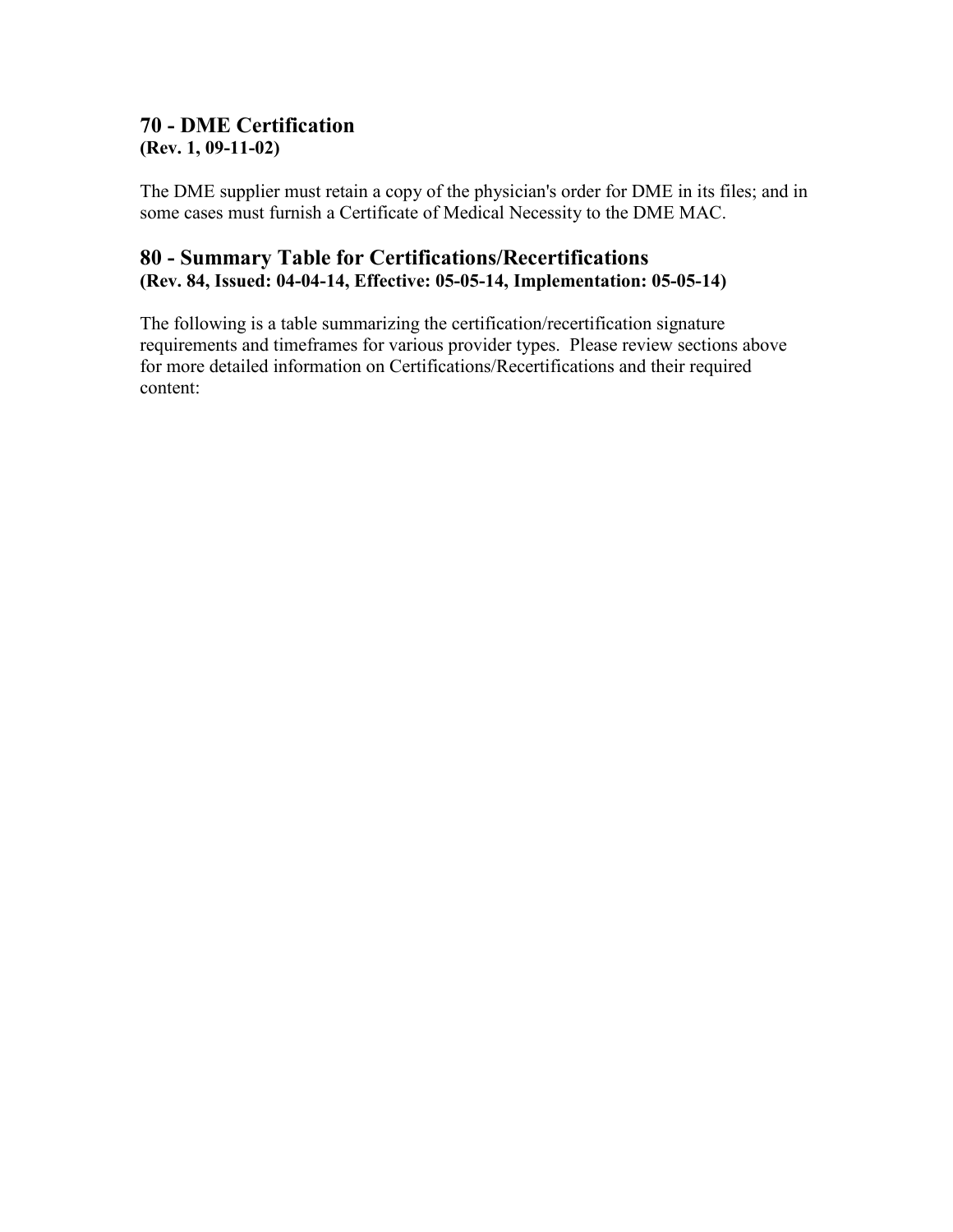#### <span id="page-18-0"></span>**70 - DME Certification (Rev. 1, 09-11-02)**

The DME supplier must retain a copy of the physician's order for DME in its files; and in some cases must furnish a Certificate of Medical Necessity to the DME MAC.

#### <span id="page-18-1"></span>**80 - Summary Table for Certifications/Recertifications (Rev. 84, Issued: 04-04-14, Effective: 05-05-14, Implementation: 05-05-14)**

The following is a table summarizing the certification/recertification signature requirements and timeframes for various provider types. Please review sections above for more detailed information on Certifications/Recertifications and their required content: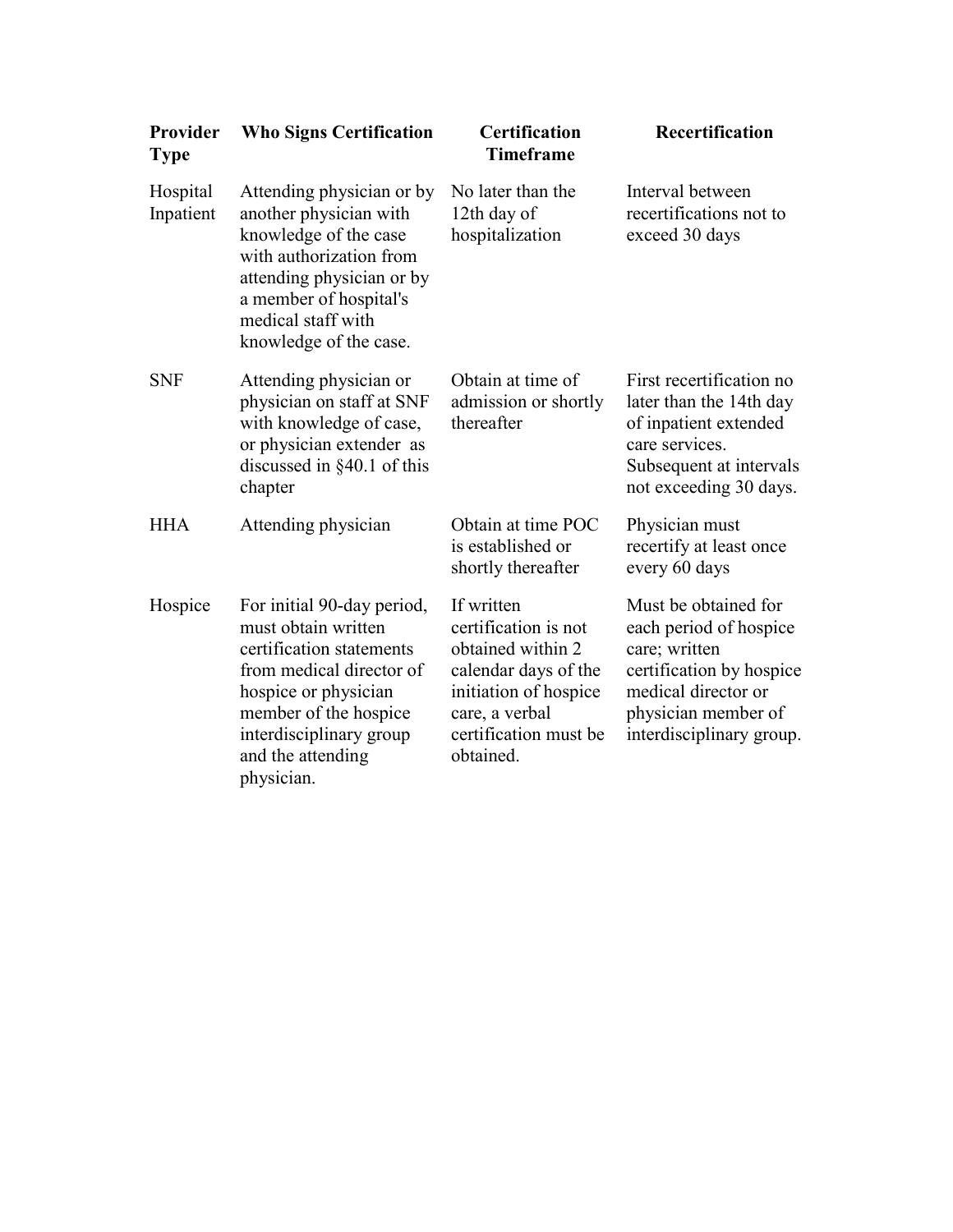| Provider<br><b>Type</b> | <b>Who Signs Certification</b>                                                                                                                                                                                           | <b>Certification</b><br><b>Timeframe</b>                                                                                                                         | Recertification                                                                                                                                                       |
|-------------------------|--------------------------------------------------------------------------------------------------------------------------------------------------------------------------------------------------------------------------|------------------------------------------------------------------------------------------------------------------------------------------------------------------|-----------------------------------------------------------------------------------------------------------------------------------------------------------------------|
| Hospital<br>Inpatient   | Attending physician or by<br>another physician with<br>knowledge of the case<br>with authorization from<br>attending physician or by<br>a member of hospital's<br>medical staff with<br>knowledge of the case.           | No later than the<br>12th day of<br>hospitalization                                                                                                              | Interval between<br>recertifications not to<br>exceed 30 days                                                                                                         |
| <b>SNF</b>              | Attending physician or<br>physician on staff at SNF<br>with knowledge of case,<br>or physician extender as<br>discussed in $§40.1$ of this<br>chapter                                                                    | Obtain at time of<br>admission or shortly<br>thereafter                                                                                                          | First recertification no<br>later than the 14th day<br>of inpatient extended<br>care services.<br>Subsequent at intervals<br>not exceeding 30 days.                   |
| <b>HHA</b>              | Attending physician                                                                                                                                                                                                      | Obtain at time POC<br>is established or<br>shortly thereafter                                                                                                    | Physician must<br>recertify at least once<br>every 60 days                                                                                                            |
| Hospice                 | For initial 90-day period,<br>must obtain written<br>certification statements<br>from medical director of<br>hospice or physician<br>member of the hospice<br>interdisciplinary group<br>and the attending<br>physician. | If written<br>certification is not<br>obtained within 2<br>calendar days of the<br>initiation of hospice<br>care, a verbal<br>certification must be<br>obtained. | Must be obtained for<br>each period of hospice<br>care; written<br>certification by hospice<br>medical director or<br>physician member of<br>interdisciplinary group. |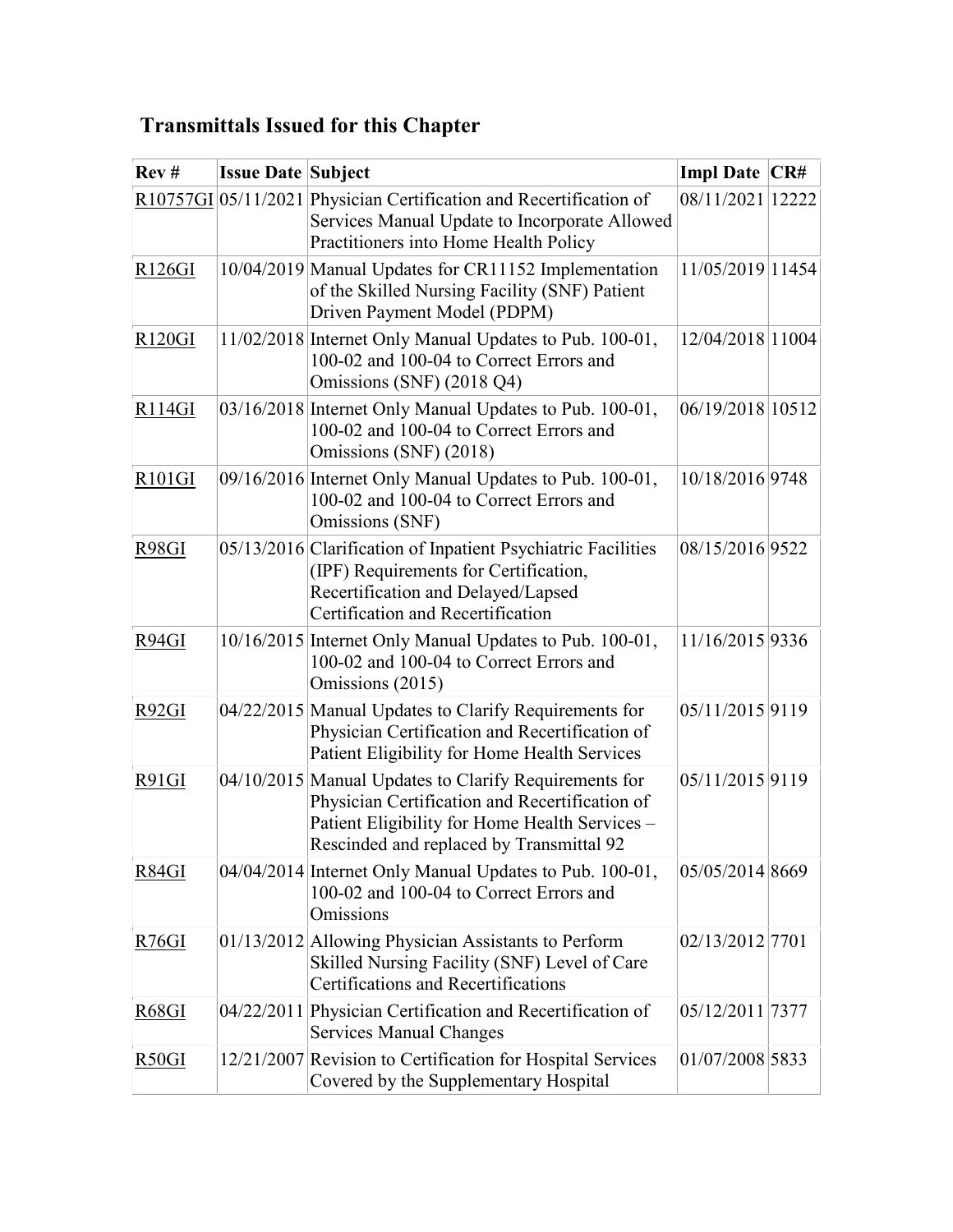# <span id="page-20-0"></span>**Transmittals Issued for this Chapter**

| Rev#                | <b>Issue Date Subject</b> |                                                                                                                                                                                                       | Impl Date CR#    |       |
|---------------------|---------------------------|-------------------------------------------------------------------------------------------------------------------------------------------------------------------------------------------------------|------------------|-------|
|                     |                           | R10757GI 05/11/2021 Physician Certification and Recertification of<br>Services Manual Update to Incorporate Allowed<br>Practitioners into Home Health Policy                                          | 08/11/2021       | 12222 |
| R126GI              |                           | 10/04/2019 Manual Updates for CR11152 Implementation<br>of the Skilled Nursing Facility (SNF) Patient<br>Driven Payment Model (PDPM)                                                                  | 11/05/2019 11454 |       |
| R <sub>120</sub> GI |                           | 11/02/2018 Internet Only Manual Updates to Pub. 100-01,<br>100-02 and 100-04 to Correct Errors and<br>Omissions (SNF) (2018 Q4)                                                                       | 12/04/2018 11004 |       |
| R <sub>114GI</sub>  |                           | 03/16/2018 Internet Only Manual Updates to Pub. 100-01,<br>100-02 and 100-04 to Correct Errors and<br>Omissions (SNF) (2018)                                                                          | 06/19/2018 10512 |       |
| R101GI              |                           | 09/16/2016 Internet Only Manual Updates to Pub. 100-01,<br>100-02 and 100-04 to Correct Errors and<br>Omissions (SNF)                                                                                 | 10/18/2016 9748  |       |
| R98GI               |                           | 05/13/2016 Clarification of Inpatient Psychiatric Facilities<br>(IPF) Requirements for Certification,<br>Recertification and Delayed/Lapsed<br>Certification and Recertification                      | 08/15/2016 9522  |       |
| R94GI               |                           | 10/16/2015 Internet Only Manual Updates to Pub. 100-01,<br>100-02 and 100-04 to Correct Errors and<br>Omissions (2015)                                                                                | 11/16/2015 9336  |       |
| <u>R92GI</u>        |                           | 04/22/2015 Manual Updates to Clarify Requirements for<br>Physician Certification and Recertification of<br>Patient Eligibility for Home Health Services                                               | 05/11/2015 9119  |       |
| R91GI               |                           | 04/10/2015 Manual Updates to Clarify Requirements for<br>Physician Certification and Recertification of<br>Patient Eligibility for Home Health Services -<br>Rescinded and replaced by Transmittal 92 | 05/11/2015 9119  |       |
| R84GI               |                           | 04/04/2014 Internet Only Manual Updates to Pub. 100-01,<br>100-02 and 100-04 to Correct Errors and<br>Omissions                                                                                       | 05/05/2014 8669  |       |
| R76GI               |                           | 01/13/2012 Allowing Physician Assistants to Perform<br>Skilled Nursing Facility (SNF) Level of Care<br><b>Certifications and Recertifications</b>                                                     | 02/13/2012 7701  |       |
| R68GI               |                           | 04/22/2011 Physician Certification and Recertification of<br><b>Services Manual Changes</b>                                                                                                           | 05/12/2011 7377  |       |
| <u>R50GI</u>        |                           | 12/21/2007 Revision to Certification for Hospital Services<br>Covered by the Supplementary Hospital                                                                                                   | 01/07/2008 5833  |       |